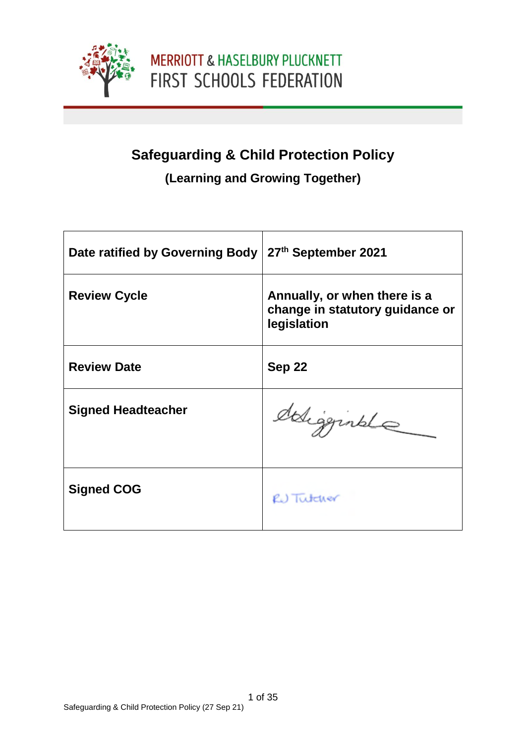

### **Safeguarding & Child Protection Policy**

### **(Learning and Growing Together)**

| Date ratified by Governing Body | 27th September 2021                                                            |
|---------------------------------|--------------------------------------------------------------------------------|
| <b>Review Cycle</b>             | Annually, or when there is a<br>change in statutory guidance or<br>legislation |
| <b>Review Date</b>              | <b>Sep 22</b>                                                                  |
| <b>Signed Headteacher</b>       | deligginale                                                                    |
| <b>Signed COG</b>               | RU Tutcher                                                                     |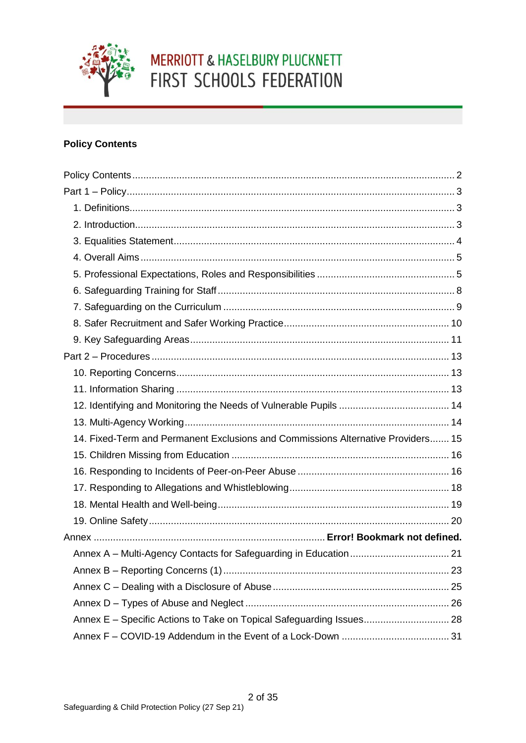

### <span id="page-1-0"></span>**Policy Contents**

| 14. Fixed-Term and Permanent Exclusions and Commissions Alternative Providers 15 |  |
|----------------------------------------------------------------------------------|--|
|                                                                                  |  |
|                                                                                  |  |
|                                                                                  |  |
|                                                                                  |  |
|                                                                                  |  |
|                                                                                  |  |
|                                                                                  |  |
|                                                                                  |  |
|                                                                                  |  |
|                                                                                  |  |
|                                                                                  |  |
|                                                                                  |  |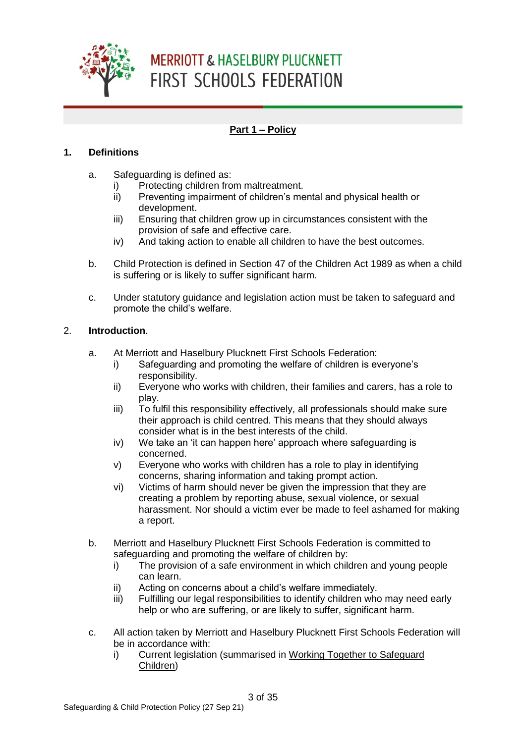

### **Part 1 – Policy**

### <span id="page-2-1"></span><span id="page-2-0"></span>**1. Definitions**

- a. Safeguarding is defined as:
	- i) Protecting children from maltreatment.
	- ii) Preventing impairment of children's mental and physical health or development.
	- iii) Ensuring that children grow up in circumstances consistent with the provision of safe and effective care.
	- iv) And taking action to enable all children to have the best outcomes.
- b. Child Protection is defined in Section 47 of the Children Act 1989 as when a child is suffering or is likely to suffer significant harm.
- c. Under statutory guidance and legislation action must be taken to safeguard and promote the child's welfare.

### 2. **Introduction**.

- <span id="page-2-2"></span>a. At Merriott and Haselbury Plucknett First Schools Federation:
	- i) Safeguarding and promoting the welfare of children is everyone's responsibility.
	- ii) Everyone who works with children, their families and carers, has a role to play.
	- iii) To fulfil this responsibility effectively, all professionals should make sure their approach is child centred. This means that they should always consider what is in the best interests of the child.
	- iv) We take an 'it can happen here' approach where safeguarding is concerned.
	- v) Everyone who works with children has a role to play in identifying concerns, sharing information and taking prompt action.
	- vi) Victims of harm should never be given the impression that they are creating a problem by reporting abuse, sexual violence, or sexual harassment. Nor should a victim ever be made to feel ashamed for making a report.
- b. Merriott and Haselbury Plucknett First Schools Federation is committed to safeguarding and promoting the welfare of children by:
	- i) The provision of a safe environment in which children and young people can learn.
	- ii) Acting on concerns about a child's welfare immediately.
	- iii) Fulfilling our legal responsibilities to identify children who may need early help or who are suffering, or are likely to suffer, significant harm.
- c. All action taken by Merriott and Haselbury Plucknett First Schools Federation will be in accordance with:
	- i) Current legislation (summarised in [Working Together to Safeguard](https://assets.publishing.service.gov.uk/government/uploads/system/uploads/attachment_data/file/722307/Working_Together_to_Safeguard_Children_Statutory_framework.pdf)  [Children\)](https://assets.publishing.service.gov.uk/government/uploads/system/uploads/attachment_data/file/722307/Working_Together_to_Safeguard_Children_Statutory_framework.pdf)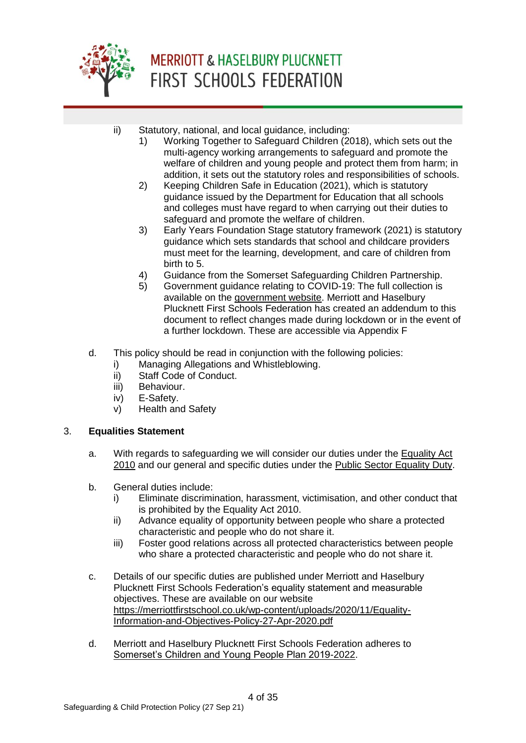

- ii) Statutory, national, and local guidance, including:
	- 1) Working Together to Safeguard Children (2018), which sets out the multi-agency working arrangements to safeguard and promote the welfare of children and young people and protect them from harm; in addition, it sets out the statutory roles and responsibilities of schools.
	- 2) Keeping Children Safe in Education (2021), which is statutory guidance issued by the Department for Education that all schools and colleges must have regard to when carrying out their duties to safequard and promote the welfare of children.
	- 3) Early Years Foundation Stage statutory framework (2021) is statutory guidance which sets standards that school and childcare providers must meet for the learning, development, and care of children from birth to 5.
	- 4) Guidance from the Somerset Safeguarding Children Partnership.
	- 5) Government guidance relating to COVID-19: The full collection is available on the [government website.](https://www.gov.uk/government/collections/guidance-for-schools-coronavirus-covid-19) Merriott and Haselbury Plucknett First Schools Federation has created an addendum to this document to reflect changes made during lockdown or in the event of a further lockdown. These are accessible via Appendix F
- d. This policy should be read in conjunction with the following policies:
	- i) Managing Allegations and Whistleblowing.
	- ii) Staff Code of Conduct.
	- iii) Behaviour.
	- iv) E-Safety.
	- v) Health and Safety

#### 3. **Equalities Statement**

- <span id="page-3-0"></span>a. With regards to safeguarding we will consider our duties under the [Equality Act](https://www.legislation.gov.uk/ukpga/2010/15/contents)  [2010](https://www.legislation.gov.uk/ukpga/2010/15/contents) and our general and specific duties under the [Public Sector Equality Duty.](https://www.gov.uk/government/publications/public-sector-equality-duty)
- b. General duties include:
	- i) Eliminate discrimination, harassment, victimisation, and other conduct that is prohibited by the Equality Act 2010.
	- ii) Advance equality of opportunity between people who share a protected characteristic and people who do not share it.
	- iii) Foster good relations across all protected characteristics between people who share a protected characteristic and people who do not share it.
- c. Details of our specific duties are published under Merriott and Haselbury Plucknett First Schools Federation's equality statement and measurable objectives. These are available on our website [https://merriottfirstschool.co.uk/wp-content/uploads/2020/11/Equality-](https://merriottfirstschool.co.uk/wp-content/uploads/2020/11/Equality-Information-and-Objectives-Policy-27-Apr-2020.pdf)[Information-and-Objectives-Policy-27-Apr-2020.pdf](https://merriottfirstschool.co.uk/wp-content/uploads/2020/11/Equality-Information-and-Objectives-Policy-27-Apr-2020.pdf)
- d. Merriott and Haselbury Plucknett First Schools Federation adheres to [Somerset's Children and Young People Plan 2019](https://www.somerset.gov.uk/how-the-council-works/children-and-young-peoples-plan/)-2022.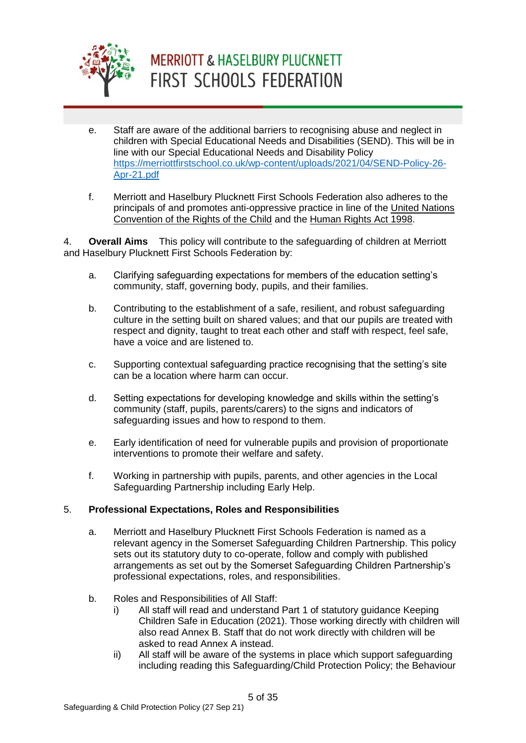

- e. Staff are aware of the additional barriers to recognising abuse and neglect in children with Special Educational Needs and Disabilities (SEND). This will be in line with our Special Educational Needs and Disability Policy [https://merriottfirstschool.co.uk/wp-content/uploads/2021/04/SEND-Policy-26-](https://merriottfirstschool.co.uk/wp-content/uploads/2021/04/SEND-Policy-26-Apr-21.pdf) [Apr-21.pdf](https://merriottfirstschool.co.uk/wp-content/uploads/2021/04/SEND-Policy-26-Apr-21.pdf)
- f. Merriott and Haselbury Plucknett First Schools Federation also adheres to the principals of and promotes anti-oppressive practice in line of the [United Nations](https://www.unicef.org.uk/what-we-do/un-convention-child-rights/#:~:text=The%20United%20Nations%20Convention%20on%20the%20Rights%20of,in%20history.%20What%20makes%20the%20UNCRC%20so%20special%3F)  [Convention of the Rights of the Child](https://www.unicef.org.uk/what-we-do/un-convention-child-rights/#:~:text=The%20United%20Nations%20Convention%20on%20the%20Rights%20of,in%20history.%20What%20makes%20the%20UNCRC%20so%20special%3F) and the [Human Rights Act 1998.](https://www.legislation.gov.uk/ukpga/1998/42?timeline=false)

<span id="page-4-0"></span>4. **Overall Aims** This policy will contribute to the safeguarding of children at Merriott and Haselbury Plucknett First Schools Federation by:

- a. Clarifying safeguarding expectations for members of the education setting's community, staff, governing body, pupils, and their families.
- b. Contributing to the establishment of a safe, resilient, and robust safeguarding culture in the setting built on shared values; and that our pupils are treated with respect and dignity, taught to treat each other and staff with respect, feel safe, have a voice and are listened to.
- c. Supporting contextual safeguarding practice recognising that the setting's site can be a location where harm can occur.
- d. Setting expectations for developing knowledge and skills within the setting's community (staff, pupils, parents/carers) to the signs and indicators of safeguarding issues and how to respond to them.
- e. Early identification of need for vulnerable pupils and provision of proportionate interventions to promote their welfare and safety.
- f. Working in partnership with pupils, parents, and other agencies in the Local Safeguarding Partnership including Early Help.

#### <span id="page-4-1"></span>5. **Professional Expectations, Roles and Responsibilities**

- a. Merriott and Haselbury Plucknett First Schools Federation is named as a relevant agency in the Somerset Safeguarding Children Partnership. This policy sets out its statutory duty to co-operate, follow and comply with published arrangements as set out by the Somerset Safeguarding Children Partnership's professional expectations, roles, and responsibilities.
- b. Roles and Responsibilities of All Staff:
	- i) All staff will read and understand Part 1 of statutory guidance Keeping Children Safe in Education (2021). Those working directly with children will also read Annex B. Staff that do not work directly with children will be asked to read Annex A instead.
	- ii) All staff will be aware of the systems in place which support safeguarding including reading this Safeguarding/Child Protection Policy; the Behaviour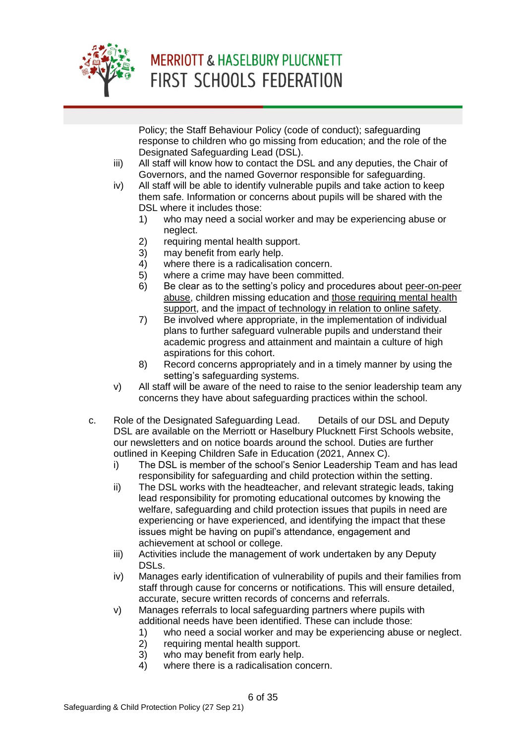

Policy; the Staff Behaviour Policy (code of conduct); safeguarding response to children who go missing from education; and the role of the Designated Safeguarding Lead (DSL).

- iii) All staff will know how to contact the DSL and any deputies, the Chair of Governors, and the named Governor responsible for safeguarding.
- iv) All staff will be able to identify vulnerable pupils and take action to keep them safe. Information or concerns about pupils will be shared with the DSL where it includes those:
	- 1) who may need a social worker and may be experiencing abuse or neglect.
	- 2) requiring mental health support.
	- 3) may benefit from early help.
	- 4) where there is a radicalisation concern.
	- 5) where a crime may have been committed.
	- 6) Be clear as to the setting's policy and procedures about peer-on-peer abuse, children missing education and those requiring mental health support, and the impact of technology in relation to online safety.
	- 7) Be involved where appropriate, in the implementation of individual plans to further safeguard vulnerable pupils and understand their academic progress and attainment and maintain a culture of high aspirations for this cohort.
	- 8) Record concerns appropriately and in a timely manner by using the setting's safeguarding systems.
- v) All staff will be aware of the need to raise to the senior leadership team any concerns they have about safeguarding practices within the school.
- c. Role of the Designated Safeguarding Lead. Details of our DSL and Deputy DSL are available on the Merriott or Haselbury Plucknett First Schools website, our newsletters and on notice boards around the school. Duties are further outlined in Keeping Children Safe in Education (2021, Annex C).
	- i) The DSL is member of the school's Senior Leadership Team and has lead responsibility for safeguarding and child protection within the setting.
	- ii) The DSL works with the headteacher, and relevant strategic leads, taking lead responsibility for promoting educational outcomes by knowing the welfare, safeguarding and child protection issues that pupils in need are experiencing or have experienced, and identifying the impact that these issues might be having on pupil's attendance, engagement and achievement at school or college.
	- iii) Activities include the management of work undertaken by any Deputy DSLs.
	- iv) Manages early identification of vulnerability of pupils and their families from staff through cause for concerns or notifications. This will ensure detailed, accurate, secure written records of concerns and referrals.
	- v) Manages referrals to local safeguarding partners where pupils with additional needs have been identified. These can include those:
		- 1) who need a social worker and may be experiencing abuse or neglect.
		- 2) requiring mental health support.
		- 3) who may benefit from early help.
		- 4) where there is a radicalisation concern.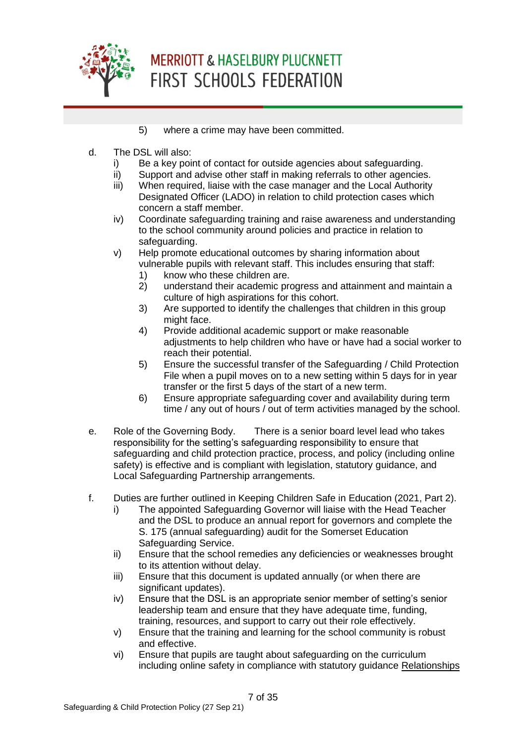

- 5) where a crime may have been committed.
- d. The DSL will also:
	- i) Be a key point of contact for outside agencies about safeguarding.
	- ii) Support and advise other staff in making referrals to other agencies.
	- iii) When required, liaise with the case manager and the Local Authority Designated Officer (LADO) in relation to child protection cases which concern a staff member.
	- iv) Coordinate safeguarding training and raise awareness and understanding to the school community around policies and practice in relation to safeguarding.
	- v) Help promote educational outcomes by sharing information about vulnerable pupils with relevant staff. This includes ensuring that staff:
		- 1) know who these children are.
		- 2) understand their academic progress and attainment and maintain a culture of high aspirations for this cohort.
		- 3) Are supported to identify the challenges that children in this group might face.
		- 4) Provide additional academic support or make reasonable adjustments to help children who have or have had a social worker to reach their potential.
		- 5) Ensure the successful transfer of the Safeguarding / Child Protection File when a pupil moves on to a new setting within 5 days for in year transfer or the first 5 days of the start of a new term.
		- 6) Ensure appropriate safeguarding cover and availability during term time / any out of hours / out of term activities managed by the school.
- e. Role of the Governing Body. There is a senior board level lead who takes responsibility for the setting's safeguarding responsibility to ensure that safeguarding and child protection practice, process, and policy (including online safety) is effective and is compliant with legislation, statutory guidance, and Local Safeguarding Partnership arrangements.
- f. Duties are further outlined in Keeping Children Safe in Education (2021, Part 2).
	- i) The appointed Safeguarding Governor will liaise with the Head Teacher and the DSL to produce an annual report for governors and complete the S. 175 (annual safeguarding) audit for the Somerset Education Safeguarding Service.
	- ii) Ensure that the school remedies any deficiencies or weaknesses brought to its attention without delay.
	- iii) Ensure that this document is updated annually (or when there are significant updates).
	- iv) Ensure that the DSL is an appropriate senior member of setting's senior leadership team and ensure that they have adequate time, funding, training, resources, and support to carry out their role effectively.
	- v) Ensure that the training and learning for the school community is robust and effective.
	- vi) Ensure that pupils are taught about safeguarding on the curriculum including online safety in compliance with statutory guidance [Relationships](https://www.gov.uk/government/publications/relationships-education-relationships-and-sex-education-rse-and-health-education)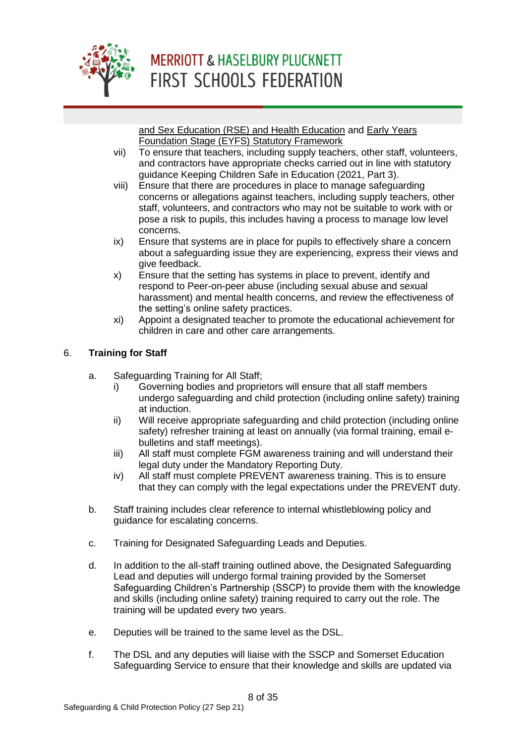

[and Sex Education \(RSE\) and Health Education](https://www.gov.uk/government/publications/relationships-education-relationships-and-sex-education-rse-and-health-education) and [Early Years](https://www.gov.uk/government/publications/early-years-foundation-stage-framework--2)  [Foundation Stage \(EYFS\) Statutory Framework](https://www.gov.uk/government/publications/early-years-foundation-stage-framework--2)

- vii) To ensure that teachers, including supply teachers, other staff, volunteers, and contractors have appropriate checks carried out in line with statutory guidance Keeping Children Safe in Education (2021, Part 3).
- viii) Ensure that there are procedures in place to manage safeguarding concerns or allegations against teachers, including supply teachers, other staff, volunteers, and contractors who may not be suitable to work with or pose a risk to pupils, this includes having a process to manage low level concerns.
- ix) Ensure that systems are in place for pupils to effectively share a concern about a safeguarding issue they are experiencing, express their views and give feedback.
- x) Ensure that the setting has systems in place to prevent, identify and respond to Peer-on-peer abuse (including sexual abuse and sexual harassment) and mental health concerns, and review the effectiveness of the setting's online safety practices.
- xi) Appoint a designated teacher to promote the educational achievement for children in care and other care arrangements.

### <span id="page-7-0"></span>6. **Training for Staff**

- a. Safeguarding Training for All Staff;
	- i) Governing bodies and proprietors will ensure that all staff members undergo safeguarding and child protection (including online safety) training at induction.
	- ii) Will receive appropriate safeguarding and child protection (including online safety) refresher training at least on annually (via formal training, email ebulletins and staff meetings).
	- iii) All staff must complete FGM awareness training and will understand their legal duty under the Mandatory Reporting Duty.
	- iv) All staff must complete PREVENT awareness training. This is to ensure that they can comply with the legal expectations under the PREVENT duty.
- b. Staff training includes clear reference to internal whistleblowing policy and guidance for escalating concerns.
- c. Training for Designated Safeguarding Leads and Deputies.
- d. In addition to the all-staff training outlined above, the Designated Safeguarding Lead and deputies will undergo formal training provided by the Somerset Safeguarding Children's Partnership (SSCP) to provide them with the knowledge and skills (including online safety) training required to carry out the role. The training will be updated every two years.
- e. Deputies will be trained to the same level as the DSL.
- f. The DSL and any deputies will liaise with the SSCP and Somerset Education Safeguarding Service to ensure that their knowledge and skills are updated via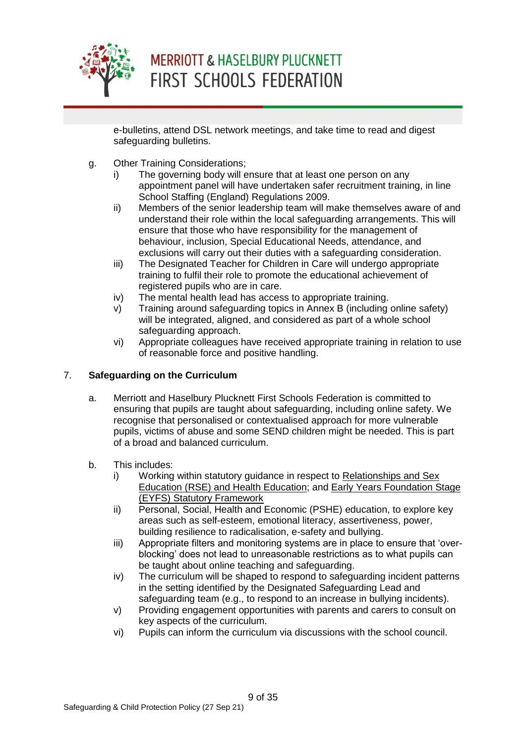

e-bulletins, attend DSL network meetings, and take time to read and digest safeguarding bulletins.

- g. Other Training Considerations;
	- i) The governing body will ensure that at least one person on any appointment panel will have undertaken safer recruitment training, in line School Staffing (England) Regulations 2009.
	- ii) Members of the senior leadership team will make themselves aware of and understand their role within the local safeguarding arrangements. This will ensure that those who have responsibility for the management of behaviour, inclusion, Special Educational Needs, attendance, and exclusions will carry out their duties with a safeguarding consideration.
	- iii) The Designated Teacher for Children in Care will undergo appropriate training to fulfil their role to promote the educational achievement of registered pupils who are in care.
	- iv) The mental health lead has access to appropriate training.
	- v) Training around safeguarding topics in Annex B (including online safety) will be integrated, aligned, and considered as part of a whole school safeguarding approach.
	- vi) Appropriate colleagues have received appropriate training in relation to use of reasonable force and positive handling.

### 7. **Safeguarding on the Curriculum**

- <span id="page-8-0"></span>a. Merriott and Haselbury Plucknett First Schools Federation is committed to ensuring that pupils are taught about safeguarding, including online safety. We recognise that personalised or contextualised approach for more vulnerable pupils, victims of abuse and some SEND children might be needed. This is part of a broad and balanced curriculum.
- b. This includes:
	- i) Working within statutory guidance in respect to Relationships and Sex [Education \(RSE\) and Health Education;](https://www.gov.uk/government/publications/relationships-education-relationships-and-sex-education-rse-and-health-education) and [Early Years Foundation Stage](https://www.gov.uk/government/publications/early-years-foundation-stage-framework--2)  [\(EYFS\) Statutory Framework](https://www.gov.uk/government/publications/early-years-foundation-stage-framework--2)
	- ii) Personal, Social, Health and Economic (PSHE) education, to explore key areas such as self-esteem, emotional literacy, assertiveness, power, building resilience to radicalisation, e-safety and bullying.
	- iii) Appropriate filters and monitoring systems are in place to ensure that 'overblocking' does not lead to unreasonable restrictions as to what pupils can be taught about online teaching and safeguarding.
	- iv) The curriculum will be shaped to respond to safeguarding incident patterns in the setting identified by the Designated Safeguarding Lead and safeguarding team (e.g., to respond to an increase in bullying incidents).
	- v) Providing engagement opportunities with parents and carers to consult on key aspects of the curriculum.
	- vi) Pupils can inform the curriculum via discussions with the school council.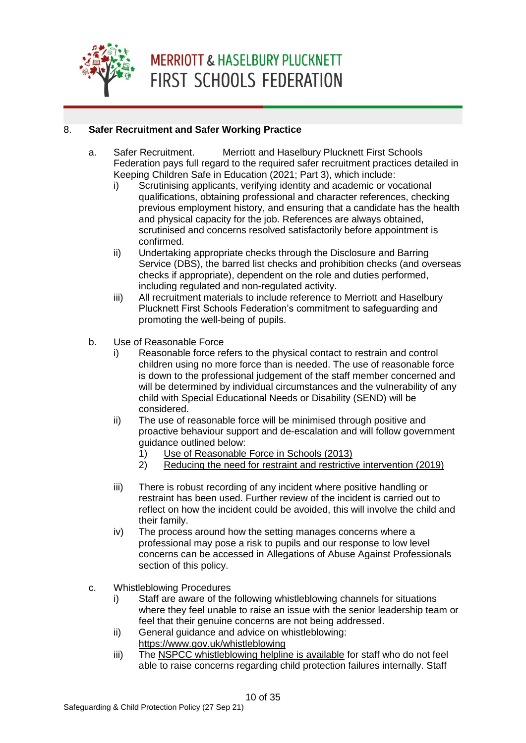

### <span id="page-9-0"></span>8. **Safer Recruitment and Safer Working Practice**

- a. Safer Recruitment. Merriott and Haselbury Plucknett First Schools Federation pays full regard to the required safer recruitment practices detailed in Keeping Children Safe in Education (2021; Part 3), which include:
	- i) Scrutinising applicants, verifying identity and academic or vocational qualifications, obtaining professional and character references, checking previous employment history, and ensuring that a candidate has the health and physical capacity for the job. References are always obtained, scrutinised and concerns resolved satisfactorily before appointment is confirmed.
	- ii) Undertaking appropriate checks through the Disclosure and Barring Service (DBS), the barred list checks and prohibition checks (and overseas checks if appropriate), dependent on the role and duties performed, including regulated and non-regulated activity.
	- iii) All recruitment materials to include reference to Merriott and Haselbury Plucknett First Schools Federation's commitment to safeguarding and promoting the well-being of pupils.
- b. Use of Reasonable Force
	- i) Reasonable force refers to the physical contact to restrain and control children using no more force than is needed. The use of reasonable force is down to the professional judgement of the staff member concerned and will be determined by individual circumstances and the vulnerability of any child with Special Educational Needs or Disability (SEND) will be considered.
	- ii) The use of reasonable force will be minimised through positive and proactive behaviour support and de-escalation and will follow government guidance outlined below:
		- 1) [Use of Reasonable Force in Schools \(2013\)](https://www.gov.uk/government/publications/use-of-reasonable-force-in-schools)
		- 2) [Reducing the need for restraint and restrictive intervention \(2019\)](https://www.gov.uk/government/publications/reducing-the-need-for-restraint-and-restrictive-intervention)
	- iii) There is robust recording of any incident where positive handling or restraint has been used. Further review of the incident is carried out to reflect on how the incident could be avoided, this will involve the child and their family.
	- iv) The process around how the setting manages concerns where a professional may pose a risk to pupils and our response to low level concerns can be accessed in Allegations of Abuse Against Professionals section of this policy.
- c. Whistleblowing Procedures
	- i) Staff are aware of the following whistleblowing channels for situations where they feel unable to raise an issue with the senior leadership team or feel that their genuine concerns are not being addressed.
	- ii) General guidance and advice on whistleblowing: <https://www.gov.uk/whistleblowing>
	- iii) The **NSPCC** whistleblowing helpline is available for staff who do not feel able to raise concerns regarding child protection failures internally. Staff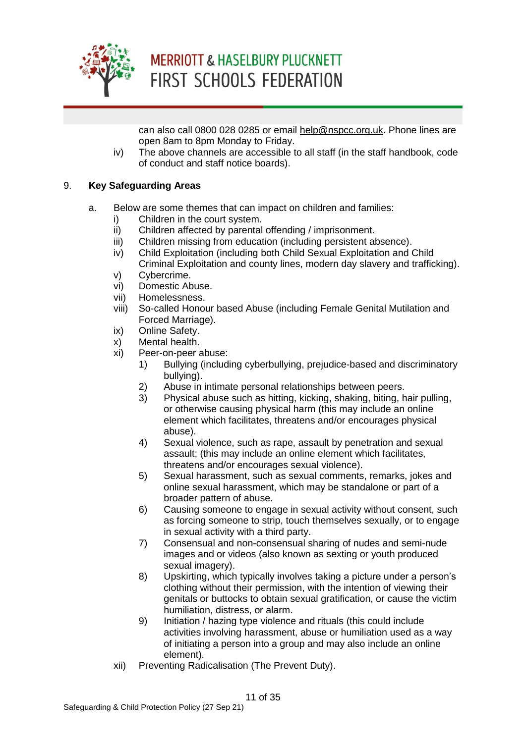

can also call 0800 028 0285 or email [help@nspcc.org.uk.](mailto:help@nspcc.org.uk) Phone lines are open 8am to 8pm Monday to Friday.

iv) The above channels are accessible to all staff (in the staff handbook, code of conduct and staff notice boards).

### <span id="page-10-0"></span>9. **Key Safeguarding Areas**

- a. Below are some themes that can impact on children and families:
	- i) Children in the court system.
	- ii) Children affected by parental offending / imprisonment.
	- iii) Children missing from education (including persistent absence).
	- iv) Child Exploitation (including both Child Sexual Exploitation and Child Criminal Exploitation and county lines, modern day slavery and trafficking).
	- v) Cybercrime.
	- vi) Domestic Abuse.
	- vii) Homelessness.
	- viii) So-called Honour based Abuse (including Female Genital Mutilation and Forced Marriage).
	- ix) Online Safety.
	- x) Mental health.
	- xi) Peer-on-peer abuse:
		- 1) Bullying (including cyberbullying, prejudice-based and discriminatory bullying).
		- 2) Abuse in intimate personal relationships between peers.
		- 3) Physical abuse such as hitting, kicking, shaking, biting, hair pulling, or otherwise causing physical harm (this may include an online element which facilitates, threatens and/or encourages physical abuse).
		- 4) Sexual violence, such as rape, assault by penetration and sexual assault; (this may include an online element which facilitates, threatens and/or encourages sexual violence).
		- 5) Sexual harassment, such as sexual comments, remarks, jokes and online sexual harassment, which may be standalone or part of a broader pattern of abuse.
		- 6) Causing someone to engage in sexual activity without consent, such as forcing someone to strip, touch themselves sexually, or to engage in sexual activity with a third party.
		- 7) Consensual and non-consensual sharing of nudes and semi-nude images and or videos (also known as sexting or youth produced sexual imagery).
		- 8) Upskirting, which typically involves taking a picture under a person's clothing without their permission, with the intention of viewing their genitals or buttocks to obtain sexual gratification, or cause the victim humiliation, distress, or alarm.
		- 9) Initiation / hazing type violence and rituals (this could include activities involving harassment, abuse or humiliation used as a way of initiating a person into a group and may also include an online element).
	- xii) Preventing Radicalisation (The Prevent Duty).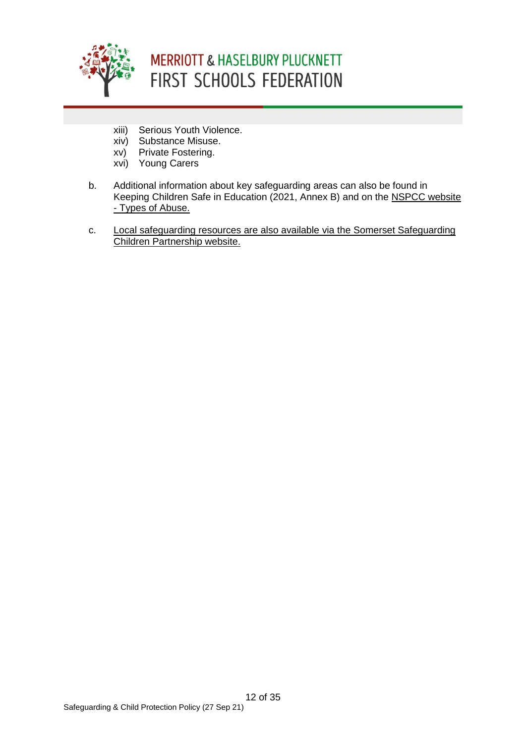

- xiii) Serious Youth Violence.
- xiv) Substance Misuse.<br>xv) Private Fostering.
- Private Fostering.
- xvi) Young Carers
- b. Additional information about key safeguarding areas can also be found in Keeping Children Safe in Education (2021, Annex B) and on the [NSPCC website](https://www.nspcc.org.uk/what-is-child-abuse/types-of-abuse/)  - [Types of Abuse.](https://www.nspcc.org.uk/what-is-child-abuse/types-of-abuse/)
- c. Local safeguarding resources are also available via the Somerset Safeguarding Children Partnership website.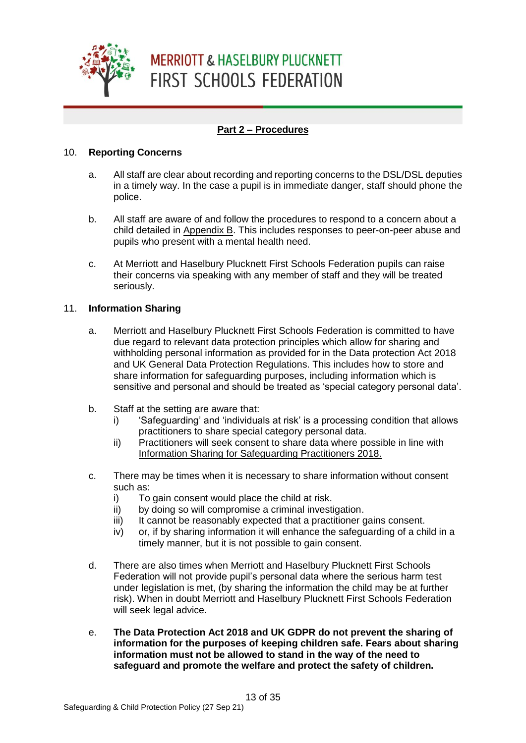

### **Part 2 – Procedures**

#### <span id="page-12-1"></span><span id="page-12-0"></span>10. **Reporting Concerns**

- a. All staff are clear about recording and reporting concerns to the DSL/DSL deputies in a timely way. In the case a pupil is in immediate danger, staff should phone the police.
- b. All staff are aware of and follow the procedures to respond to a concern about a child detailed in Appendix B. This includes responses to peer-on-peer abuse and pupils who present with a mental health need.
- c. At Merriott and Haselbury Plucknett First Schools Federation pupils can raise their concerns via speaking with any member of staff and they will be treated seriously.

### 11. **Information Sharing**

- <span id="page-12-2"></span>a. Merriott and Haselbury Plucknett First Schools Federation is committed to have due regard to relevant data protection principles which allow for sharing and withholding personal information as provided for in the Data protection Act 2018 and UK General Data Protection Regulations. This includes how to store and share information for safeguarding purposes, including information which is sensitive and personal and should be treated as 'special category personal data'.
- b. Staff at the setting are aware that:
	- i) 'Safeguarding' and 'individuals at risk' is a processing condition that allows practitioners to share special category personal data.
	- ii) Practitioners will seek consent to share data where possible in line with [Information Sharing for Safeguarding Practitioners 2018.](https://assets.publishing.service.gov.uk/government/uploads/system/uploads/attachment_data/file/721581/Information_sharing_advice_practitioners_safeguarding_services.pdf)
- c. There may be times when it is necessary to share information without consent such as:
	- i) To gain consent would place the child at risk.
	- ii) by doing so will compromise a criminal investigation.
	- iii) It cannot be reasonably expected that a practitioner gains consent.
	- iv) or, if by sharing information it will enhance the safeguarding of a child in a timely manner, but it is not possible to gain consent.
- d. There are also times when Merriott and Haselbury Plucknett First Schools Federation will not provide pupil's personal data where the serious harm test under legislation is met, (by sharing the information the child may be at further risk). When in doubt Merriott and Haselbury Plucknett First Schools Federation will seek legal advice.
- e. **The Data Protection Act 2018 and UK GDPR do not prevent the sharing of information for the purposes of keeping children safe. Fears about sharing information must not be allowed to stand in the way of the need to safeguard and promote the welfare and protect the safety of children.**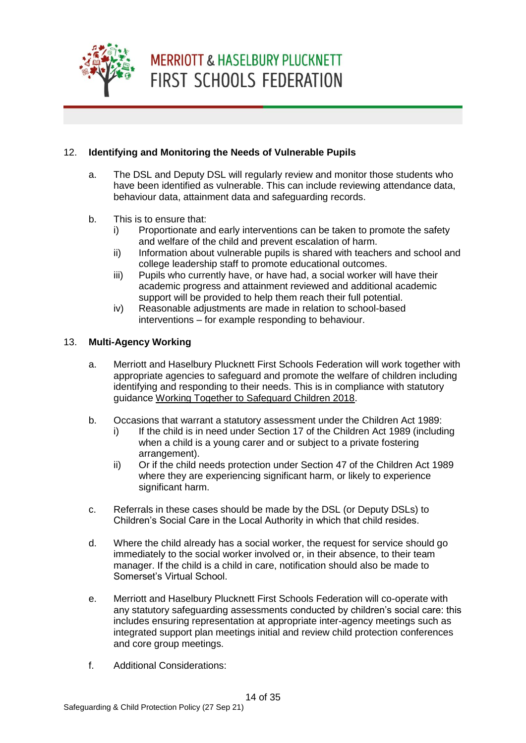

### <span id="page-13-0"></span>12. **Identifying and Monitoring the Needs of Vulnerable Pupils**

- a. The DSL and Deputy DSL will regularly review and monitor those students who have been identified as vulnerable. This can include reviewing attendance data, behaviour data, attainment data and safeguarding records.
- b. This is to ensure that:
	- i) Proportionate and early interventions can be taken to promote the safety and welfare of the child and prevent escalation of harm.
	- ii) Information about vulnerable pupils is shared with teachers and school and college leadership staff to promote educational outcomes.
	- iii) Pupils who currently have, or have had, a social worker will have their academic progress and attainment reviewed and additional academic support will be provided to help them reach their full potential.
	- iv) Reasonable adjustments are made in relation to school-based interventions – for example responding to behaviour.

#### <span id="page-13-1"></span>13. **Multi-Agency Working**

- a. Merriott and Haselbury Plucknett First Schools Federation will work together with appropriate agencies to safeguard and promote the welfare of children including identifying and responding to their needs. This is in compliance with statutory guidance [Working Together to Safeguard Children 2018.](https://assets.publishing.service.gov.uk/government/uploads/system/uploads/attachment_data/file/779401/Working_Together_to_Safeguard-Children.pdf)
- b. Occasions that warrant a statutory assessment under the Children Act 1989:
	- i) If the child is in need under Section 17 of the Children Act 1989 (including when a child is a young carer and or subject to a private fostering arrangement).
	- ii) Or if the child needs protection under Section 47 of the Children Act 1989 where they are experiencing significant harm, or likely to experience significant harm.
- c. Referrals in these cases should be made by the DSL (or Deputy DSLs) to Children's Social Care in the Local Authority in which that child resides.
- d. Where the child already has a social worker, the request for service should go immediately to the social worker involved or, in their absence, to their team manager. If the child is a child in care, notification should also be made to Somerset's Virtual School.
- e. Merriott and Haselbury Plucknett First Schools Federation will co-operate with any statutory safeguarding assessments conducted by children's social care: this includes ensuring representation at appropriate inter-agency meetings such as integrated support plan meetings initial and review child protection conferences and core group meetings.
- f. Additional Considerations: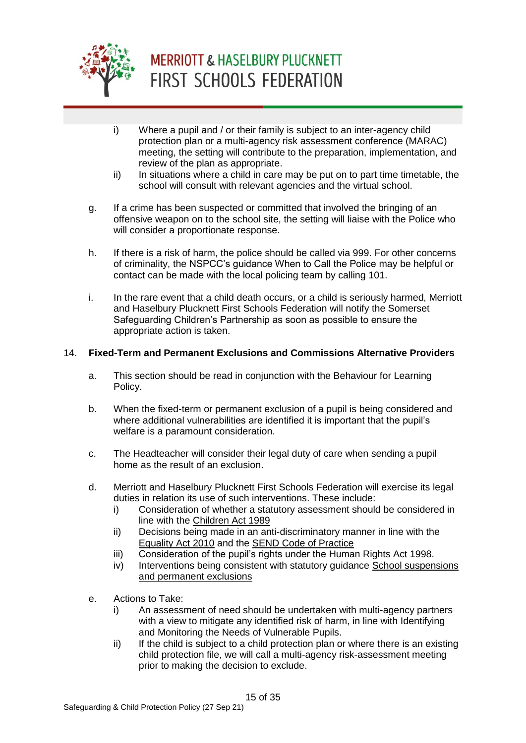

- i) Where a pupil and / or their family is subject to an inter-agency child protection plan or a multi-agency risk assessment conference (MARAC) meeting, the setting will contribute to the preparation, implementation, and review of the plan as appropriate.
- ii) In situations where a child in care may be put on to part time timetable, the school will consult with relevant agencies and the virtual school.
- g. If a crime has been suspected or committed that involved the bringing of an offensive weapon on to the school site, the setting will liaise with the Police who will consider a proportionate response.
- h. If there is a risk of harm, the police should be called via 999. For other concerns of criminality, the [NSPCC's guidance When to Call the Police](https://www.npcc.police.uk/documents/Children%20and%20Young%20people/When%20to%20call%20the%20police%20guidance%20for%20schools%20and%20colleges.pdf) may be helpful or contact can be made with the local policing team by calling 101.
- i. In the rare event that a child death occurs, or a child is seriously harmed, Merriott and Haselbury Plucknett First Schools Federation will notify the Somerset Safeguarding Children's Partnership as soon as possible to ensure the appropriate action is taken.

#### <span id="page-14-0"></span>14. **Fixed-Term and Permanent Exclusions and Commissions Alternative Providers**

- a. This section should be read in conjunction with the Behaviour for Learning Policy.
- b. When the fixed-term or permanent exclusion of a pupil is being considered and where additional vulnerabilities are identified it is important that the pupil's welfare is a paramount consideration.
- c. The Headteacher will consider their legal duty of care when sending a pupil home as the result of an exclusion.
- d. Merriott and Haselbury Plucknett First Schools Federation will exercise its legal duties in relation its use of such interventions. These include:
	- i) Consideration of whether a statutory assessment should be considered in line with the [Children Act 1989](https://www.legislation.gov.uk/ukpga/1989/41/contents)
	- ii) Decisions being made in an anti-discriminatory manner in line with the [Equality Act 2010](https://www.legislation.gov.uk/ukpga/2010/15/contents) and the [SEND Code of Practice](https://www.gov.uk/government/publications/send-code-of-practice-0-to-25)
	- iii) Consideration of the pupil's rights under the [Human Rights Act 1998.](https://www.legislation.gov.uk/ukpga/1998/42/contents)
	- iv) Interventions being consistent with statutory guidance [School suspensions](https://www.gov.uk/government/publications/school-exclusion)  [and permanent exclusions](https://www.gov.uk/government/publications/school-exclusion)
- e. Actions to Take:
	- i) An assessment of need should be undertaken with multi-agency partners with a view to mitigate any identified risk of harm, in line with Identifying and Monitoring the Needs of Vulnerable Pupils.
	- ii) If the child is subject to a child protection plan or where there is an existing child protection file, we will call a multi-agency risk-assessment meeting prior to making the decision to exclude.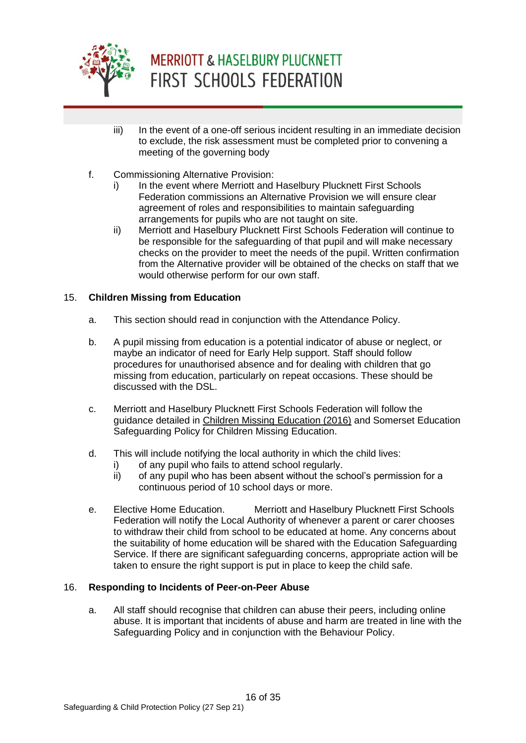

- iii) In the event of a one-off serious incident resulting in an immediate decision to exclude, the risk assessment must be completed prior to convening a meeting of the governing body
- f. Commissioning Alternative Provision:
	- i) In the event where Merriott and Haselbury Plucknett First Schools Federation commissions an Alternative Provision we will ensure clear agreement of roles and responsibilities to maintain safeguarding arrangements for pupils who are not taught on site.
	- ii) Merriott and Haselbury Plucknett First Schools Federation will continue to be responsible for the safeguarding of that pupil and will make necessary checks on the provider to meet the needs of the pupil. Written confirmation from the Alternative provider will be obtained of the checks on staff that we would otherwise perform for our own staff.

### <span id="page-15-0"></span>15. **Children Missing from Education**

- a. This section should read in conjunction with the Attendance Policy.
- b. A pupil missing from education is a potential indicator of abuse or neglect, or maybe an indicator of need for Early Help support. Staff should follow procedures for unauthorised absence and for dealing with children that go missing from education, particularly on repeat occasions. These should be discussed with the DSL.
- c. Merriott and Haselbury Plucknett First Schools Federation will follow the guidance detailed in [Children Missing Education \(2016\)](https://www.gov.uk/government/publications/children-missing-education) and Somerset Education Safeguarding Policy for Children Missing Education.
- d. This will include notifying the local authority in which the child lives:
	- i) of any pupil who fails to attend school regularly.
	- ii) of any pupil who has been absent without the school's permission for a continuous period of 10 school days or more.
- e. Elective Home Education. Merriott and Haselbury Plucknett First Schools Federation will notify the Local Authority of whenever a parent or carer chooses to withdraw their child from school to be educated at home. Any concerns about the suitability of home education will be shared with the Education Safeguarding Service. If there are significant safeguarding concerns, appropriate action will be taken to ensure the right support is put in place to keep the child safe.

#### <span id="page-15-1"></span>16. **Responding to Incidents of Peer-on-Peer Abuse**

a. All staff should recognise that children can abuse their peers, including online abuse. It is important that incidents of abuse and harm are treated in line with the Safeguarding Policy and in conjunction with the Behaviour Policy.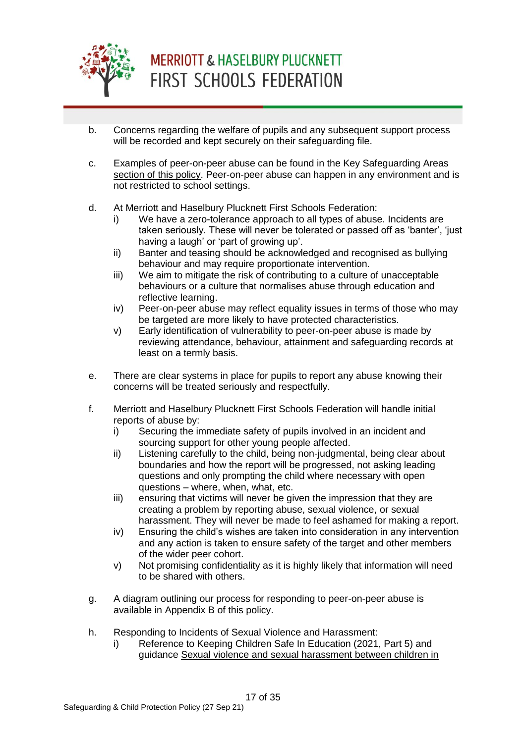

- b. Concerns regarding the welfare of pupils and any subsequent support process will be recorded and kept securely on their safeguarding file.
- c. Examples of peer-on-peer abuse can be found in the Key Safeguarding Areas section of this policy. Peer-on-peer abuse can happen in any environment and is not restricted to school settings.
- d. At Merriott and Haselbury Plucknett First Schools Federation:
	- i) We have a zero-tolerance approach to all types of abuse. Incidents are taken seriously. These will never be tolerated or passed off as 'banter', 'just having a laugh' or 'part of growing up'.
	- ii) Banter and teasing should be acknowledged and recognised as bullying behaviour and may require proportionate intervention.
	- iii) We aim to mitigate the risk of contributing to a culture of unacceptable behaviours or a culture that normalises abuse through education and reflective learning.
	- iv) Peer-on-peer abuse may reflect equality issues in terms of those who may be targeted are more likely to have protected characteristics.
	- v) Early identification of vulnerability to peer-on-peer abuse is made by reviewing attendance, behaviour, attainment and safeguarding records at least on a termly basis.
- e. There are clear systems in place for pupils to report any abuse knowing their concerns will be treated seriously and respectfully.
- f. Merriott and Haselbury Plucknett First Schools Federation will handle initial reports of abuse by:
	- i) Securing the immediate safety of pupils involved in an incident and sourcing support for other young people affected.
	- ii) Listening carefully to the child, being non-judgmental, being clear about boundaries and how the report will be progressed, not asking leading questions and only prompting the child where necessary with open questions – where, when, what, etc.
	- iii) ensuring that victims will never be given the impression that they are creating a problem by reporting abuse, sexual violence, or sexual harassment. They will never be made to feel ashamed for making a report.
	- iv) Ensuring the child's wishes are taken into consideration in any intervention and any action is taken to ensure safety of the target and other members of the wider peer cohort.
	- v) Not promising confidentiality as it is highly likely that information will need to be shared with others.
- g. A diagram outlining our process for responding to peer-on-peer abuse is available in Appendix B of this policy.
- h. Responding to Incidents of Sexual Violence and Harassment:
	- i) Reference to Keeping Children Safe In Education (2021, Part 5) and guidance [Sexual violence and sexual harassment between children in](https://www.gov.uk/government/publications/sexual-violence-and-sexual-harassment-between-children-in-schools-and-colleges)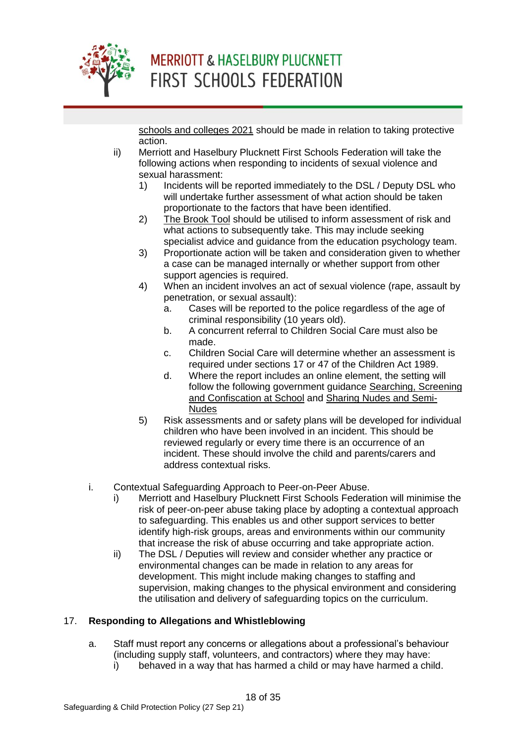

[schools and colleges 2021](https://www.gov.uk/government/publications/sexual-violence-and-sexual-harassment-between-children-in-schools-and-colleges) should be made in relation to taking protective action.

- ii) Merriott and Haselbury Plucknett First Schools Federation will take the following actions when responding to incidents of sexual violence and sexual harassment:
	- 1) Incidents will be reported immediately to the DSL / Deputy DSL who will undertake further assessment of what action should be taken proportionate to the factors that have been identified.
	- 2) [The Brook Tool](https://www.brook.org.uk/training/wider-professional-training/sexual-behaviours-traffic-light-tool/) should be utilised to inform assessment of risk and what actions to subsequently take. This may include seeking specialist advice and guidance from the education psychology team.
	- 3) Proportionate action will be taken and consideration given to whether a case can be managed internally or whether support from other support agencies is required.
	- 4) When an incident involves an act of sexual violence (rape, assault by penetration, or sexual assault):
		- a. Cases will be reported to the police regardless of the age of criminal responsibility (10 years old).
		- b. A concurrent referral to Children Social Care must also be made.
		- c. Children Social Care will determine whether an assessment is required under sections 17 or 47 of the Children Act 1989.
		- d. Where the report includes an online element, the setting will follow the following government guidance [Searching, Screening](https://www.gov.uk/government/publications/searching-screening-and-confiscation)  [and Confiscation at School](https://www.gov.uk/government/publications/searching-screening-and-confiscation) and [Sharing Nudes and Semi-](https://www.gov.uk/government/publications/sharing-nudes-and-semi-nudes-advice-for-education-settings-working-with-children-and-young-people)[Nudes](https://www.gov.uk/government/publications/sharing-nudes-and-semi-nudes-advice-for-education-settings-working-with-children-and-young-people)
	- 5) Risk assessments and or safety plans will be developed for individual children who have been involved in an incident. This should be reviewed regularly or every time there is an occurrence of an incident. These should involve the child and parents/carers and address contextual risks.
- i. Contextual Safeguarding Approach to Peer-on-Peer Abuse.
	- i) Merriott and Haselbury Plucknett First Schools Federation will minimise the risk of peer-on-peer abuse taking place by adopting a contextual approach to safeguarding. This enables us and other support services to better identify high-risk groups, areas and environments within our community that increase the risk of abuse occurring and take appropriate action.
	- ii) The DSL / Deputies will review and consider whether any practice or environmental changes can be made in relation to any areas for development. This might include making changes to staffing and supervision, making changes to the physical environment and considering the utilisation and delivery of safeguarding topics on the curriculum.

### <span id="page-17-0"></span>17. **Responding to Allegations and Whistleblowing**

- a. Staff must report any concerns or allegations about a professional's behaviour (including supply staff, volunteers, and contractors) where they may have:
	- i) behaved in a way that has harmed a child or may have harmed a child.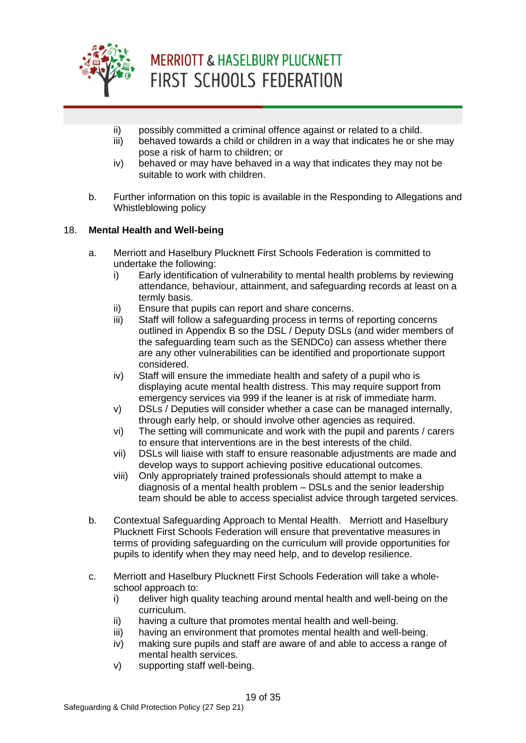

- ii) possibly committed a criminal offence against or related to a child.
- iii) behaved towards a child or children in a way that indicates he or she may pose a risk of harm to children; or
- iv) behaved or may have behaved in a way that indicates they may not be suitable to work with children.
- b. Further information on this topic is available in the Responding to Allegations and Whistleblowing policy

### <span id="page-18-0"></span>18. **Mental Health and Well-being**

- a. Merriott and Haselbury Plucknett First Schools Federation is committed to undertake the following:
	- i) Early identification of vulnerability to mental health problems by reviewing attendance, behaviour, attainment, and safeguarding records at least on a termly basis.
	- ii) Ensure that pupils can report and share concerns.
	- iii) Staff will follow a safeguarding process in terms of reporting concerns outlined in Appendix B so the DSL / Deputy DSLs (and wider members of the safeguarding team such as the SENDCo) can assess whether there are any other vulnerabilities can be identified and proportionate support considered.
	- iv) Staff will ensure the immediate health and safety of a pupil who is displaying acute mental health distress. This may require support from emergency services via 999 if the leaner is at risk of immediate harm.
	- v) DSLs / Deputies will consider whether a case can be managed internally, through early help, or should involve other agencies as required.
	- vi) The setting will communicate and work with the pupil and parents / carers to ensure that interventions are in the best interests of the child.
	- vii) DSLs will liaise with staff to ensure reasonable adjustments are made and develop ways to support achieving positive educational outcomes.
	- viii) Only appropriately trained professionals should attempt to make a diagnosis of a mental health problem – DSLs and the senior leadership team should be able to access specialist advice through targeted services.
- b. Contextual Safeguarding Approach to Mental Health. Merriott and Haselbury Plucknett First Schools Federation will ensure that preventative measures in terms of providing safeguarding on the curriculum will provide opportunities for pupils to identify when they may need help, and to develop resilience.
- c. Merriott and Haselbury Plucknett First Schools Federation will take a wholeschool approach to:
	- i) deliver high quality teaching around mental health and well-being on the curriculum.
	- ii) having a culture that promotes mental health and well-being.
	- iii) having an environment that promotes mental health and well-being.
	- iv) making sure pupils and staff are aware of and able to access a range of mental health services.
	- v) supporting staff well-being.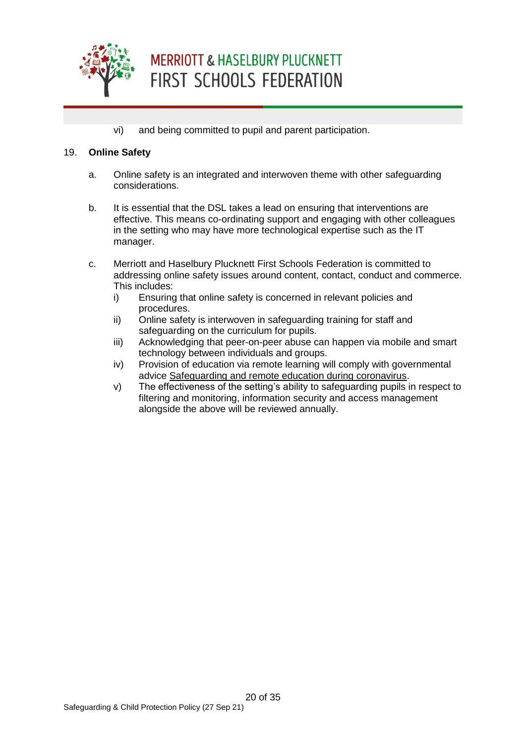

vi) and being committed to pupil and parent participation.

### <span id="page-19-0"></span>19. **Online Safety**

- a. Online safety is an integrated and interwoven theme with other safeguarding considerations.
- b. It is essential that the DSL takes a lead on ensuring that interventions are effective. This means co-ordinating support and engaging with other colleagues in the setting who may have more technological expertise such as the IT manager.
- <span id="page-19-1"></span>c. Merriott and Haselbury Plucknett First Schools Federation is committed to addressing online safety issues around content, contact, conduct and commerce. This includes:
	- i) Ensuring that online safety is concerned in relevant policies and procedures.
	- ii) Online safety is interwoven in safeguarding training for staff and safeguarding on the curriculum for pupils.
	- iii) Acknowledging that peer-on-peer abuse can happen via mobile and smart technology between individuals and groups.
	- iv) Provision of education via remote learning will comply with governmental advice [Safeguarding and remote education during coronavirus.](https://www.gov.uk/guidance/safeguarding-and-remote-education-during-coronavirus-covid-19)
	- v) The effectiveness of the setting's ability to safeguarding pupils in respect to filtering and monitoring, information security and access management alongside the above will be reviewed annually.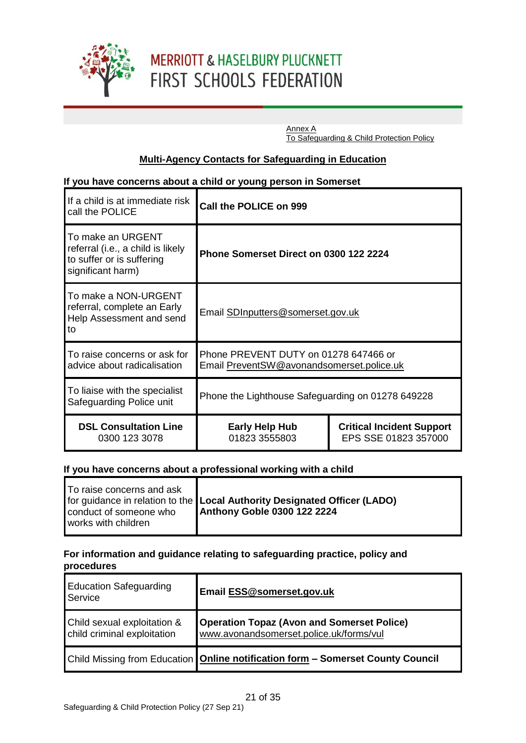

Annex A To Safeguarding & Child Protection Policy

### **Multi-Agency Contacts for Safeguarding in Education**

### **If you have concerns about a child or young person in Somerset**

| If a child is at immediate risk<br>call the POLICE                                                       | Call the POLICE on 999                                                             |                                                          |
|----------------------------------------------------------------------------------------------------------|------------------------------------------------------------------------------------|----------------------------------------------------------|
| To make an URGENT<br>referral (i.e., a child is likely<br>to suffer or is suffering<br>significant harm) | Phone Somerset Direct on 0300 122 2224                                             |                                                          |
| To make a NON-URGENT<br>referral, complete an Early<br>Help Assessment and send<br>to                    | Email SDInputters@somerset.gov.uk                                                  |                                                          |
| To raise concerns or ask for<br>advice about radicalisation                                              | Phone PREVENT DUTY on 01278 647466 or<br>Email PreventSW@avonandsomerset.police.uk |                                                          |
| To liaise with the specialist<br>Safeguarding Police unit                                                | Phone the Lighthouse Safeguarding on 01278 649228                                  |                                                          |
| <b>DSL Consultation Line</b><br>0300 123 3078                                                            | <b>Early Help Hub</b><br>01823 3555803                                             | <b>Critical Incident Support</b><br>EPS SSE 01823 357000 |

#### **If you have concerns about a professional working with a child**

| To raise concerns and ask<br>conduct of someone who<br>works with children | for guidance in relation to the Local Authority Designated Officer (LADO)<br>Anthony Goble 0300 122 2224 |  |
|----------------------------------------------------------------------------|----------------------------------------------------------------------------------------------------------|--|
|----------------------------------------------------------------------------|----------------------------------------------------------------------------------------------------------|--|

#### **For information and guidance relating to safeguarding practice, policy and procedures**

| <b>Education Safeguarding</b><br>Service                   | Email ESS@somerset.gov.uk                                                                    |
|------------------------------------------------------------|----------------------------------------------------------------------------------------------|
| Child sexual exploitation &<br>child criminal exploitation | <b>Operation Topaz (Avon and Somerset Police)</b><br>www.avonandsomerset.police.uk/forms/vul |
|                                                            | Child Missing from Education   Online notification form - Somerset County Council            |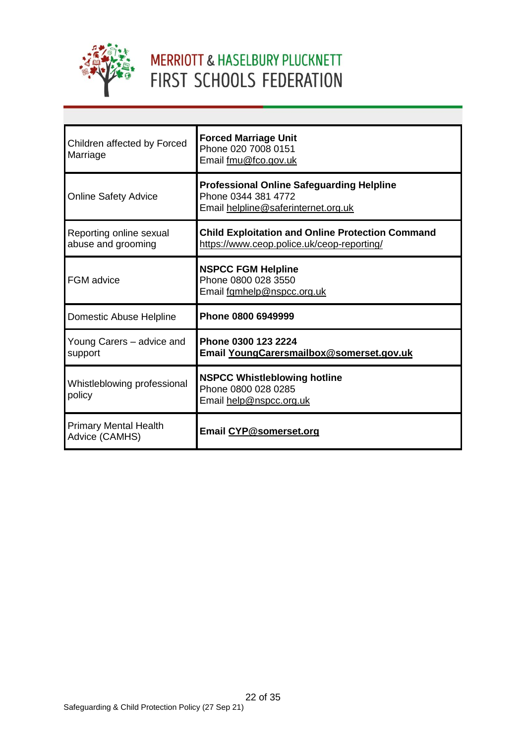

| Children affected by Forced<br>Marriage        | <b>Forced Marriage Unit</b><br>Phone 020 7008 0151<br>Email fmu@fco.gov.uk                                     |
|------------------------------------------------|----------------------------------------------------------------------------------------------------------------|
| <b>Online Safety Advice</b>                    | <b>Professional Online Safeguarding Helpline</b><br>Phone 0344 381 4772<br>Email helpline@saferinternet.org.uk |
| Reporting online sexual<br>abuse and grooming  | <b>Child Exploitation and Online Protection Command</b><br>https://www.ceop.police.uk/ceop-reporting/          |
| <b>FGM</b> advice                              | <b>NSPCC FGM Helpline</b><br>Phone 0800 028 3550<br>Email fgmhelp@nspcc.org.uk                                 |
| Domestic Abuse Helpline                        | Phone 0800 6949999                                                                                             |
| Young Carers – advice and<br>support           | Phone 0300 123 2224<br>Email YoungCarersmailbox@somerset.gov.uk                                                |
| Whistleblowing professional<br>policy          | <b>NSPCC Whistleblowing hotline</b><br>Phone 0800 028 0285<br>Email help@nspcc.org.uk                          |
| <b>Primary Mental Health</b><br>Advice (CAMHS) | Email CYP@somerset.org                                                                                         |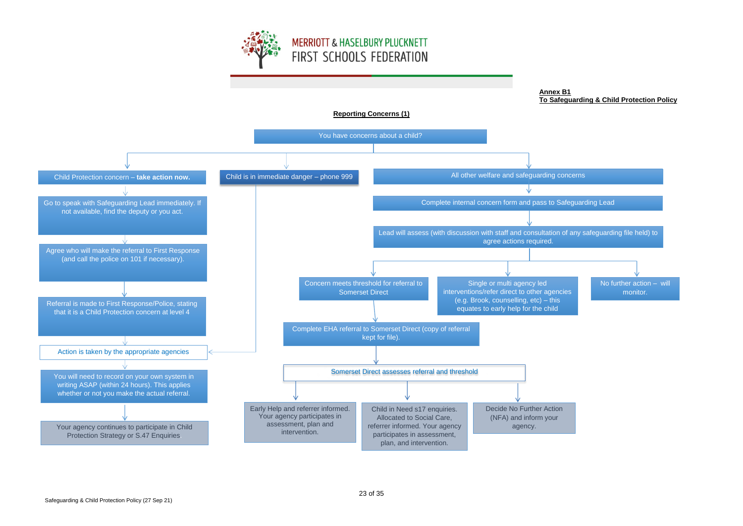

<span id="page-22-0"></span>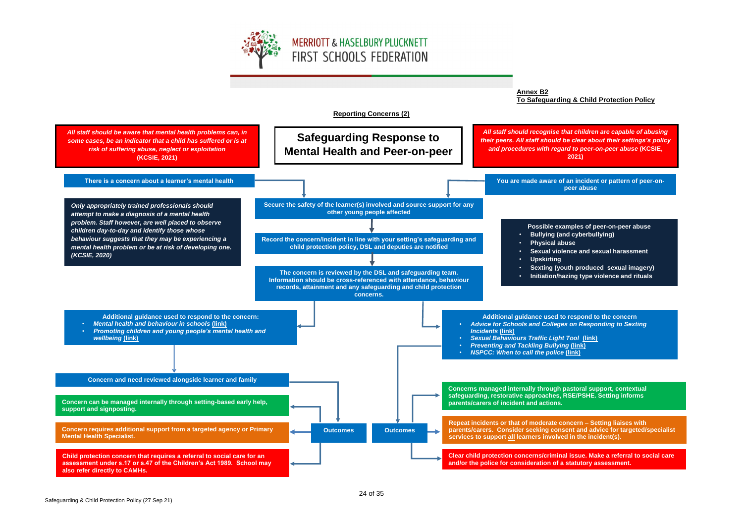

**Annex B2**

#### **To Safeguarding & Child Protection Policy**

**Reporting Concerns (2)**

**peer abuse**

*All staff should recognise that children are capable of abusing their peers. All staff should be clear about their settings's policy and procedures with regard to peer-on-peer abuse* **(KCSIE, 2021)**

> **Possible examples of peer-on-peer abuse** • **Bullying (and cyberbullying)**  • **Sexual violence and sexual harassment**

• **Sexting (youth produced sexual imagery)** • **Initiation/hazing type violence and rituals**

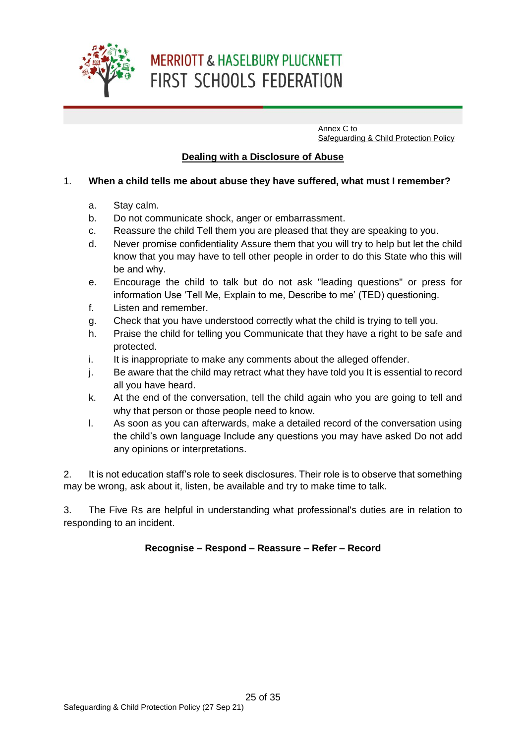

Annex C to Safeguarding & Child Protection Policy

### **Dealing with a Disclosure of Abuse**

### <span id="page-24-0"></span>1. **When a child tells me about abuse they have suffered, what must I remember?**

- a. Stay calm.
- b. Do not communicate shock, anger or embarrassment.
- c. Reassure the child Tell them you are pleased that they are speaking to you.
- d. Never promise confidentiality Assure them that you will try to help but let the child know that you may have to tell other people in order to do this State who this will be and why.
- e. Encourage the child to talk but do not ask "leading questions" or press for information Use 'Tell Me, Explain to me, Describe to me' (TED) questioning.
- f. Listen and remember.
- g. Check that you have understood correctly what the child is trying to tell you.
- h. Praise the child for telling you Communicate that they have a right to be safe and protected.
- i. It is inappropriate to make any comments about the alleged offender.
- j. Be aware that the child may retract what they have told you It is essential to record all you have heard.
- k. At the end of the conversation, tell the child again who you are going to tell and why that person or those people need to know.
- l. As soon as you can afterwards, make a detailed record of the conversation using the child's own language Include any questions you may have asked Do not add any opinions or interpretations.

2. It is not education staff's role to seek disclosures. Their role is to observe that something may be wrong, ask about it, listen, be available and try to make time to talk.

3. The Five Rs are helpful in understanding what professional's duties are in relation to responding to an incident.

#### **Recognise – Respond – Reassure – Refer – Record**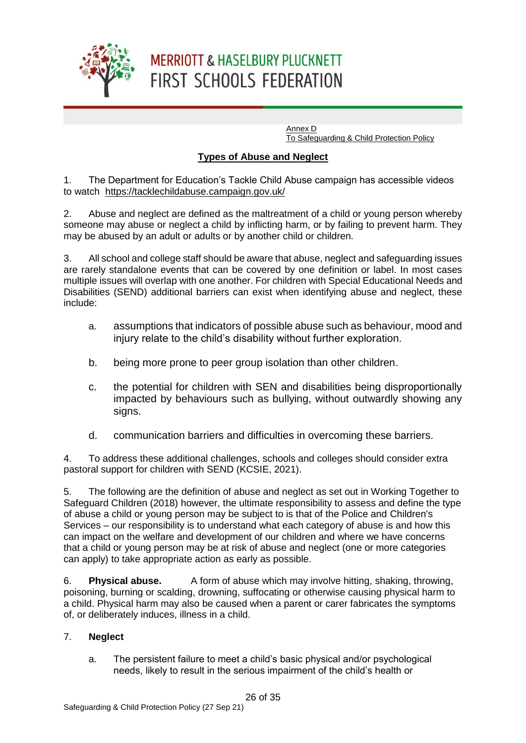

Annex D To Safeguarding & Child Protection Policy

### **Types of Abuse and Neglect**

<span id="page-25-0"></span>1. The Department for Education's Tackle Child Abuse campaign has accessible videos to watch <https://tacklechildabuse.campaign.gov.uk/>

2. Abuse and neglect are defined as the maltreatment of a child or young person whereby someone may abuse or neglect a child by inflicting harm, or by failing to prevent harm. They may be abused by an adult or adults or by another child or children.

3. All school and college staff should be aware that abuse, neglect and safeguarding issues are rarely standalone events that can be covered by one definition or label. In most cases multiple issues will overlap with one another. For children with Special Educational Needs and Disabilities (SEND) additional barriers can exist when identifying abuse and neglect, these include:

- a. assumptions that indicators of possible abuse such as behaviour, mood and injury relate to the child's disability without further exploration.
- b. being more prone to peer group isolation than other children.
- c. the potential for children with SEN and disabilities being disproportionally impacted by behaviours such as bullying, without outwardly showing any signs.
- d. communication barriers and difficulties in overcoming these barriers.

4. To address these additional challenges, schools and colleges should consider extra pastoral support for children with SEND (KCSIE, 2021).

5. The following are the definition of abuse and neglect as set out in Working Together to Safeguard Children (2018) however, the ultimate responsibility to assess and define the type of abuse a child or young person may be subject to is that of the Police and Children's Services – our responsibility is to understand what each category of abuse is and how this can impact on the welfare and development of our children and where we have concerns that a child or young person may be at risk of abuse and neglect (one or more categories can apply) to take appropriate action as early as possible.

6. **Physical abuse.** A form of abuse which may involve hitting, shaking, throwing, poisoning, burning or scalding, drowning, suffocating or otherwise causing physical harm to a child. Physical harm may also be caused when a parent or carer fabricates the symptoms of, or deliberately induces, illness in a child.

### 7. **Neglect**

a. The persistent failure to meet a child's basic physical and/or psychological needs, likely to result in the serious impairment of the child's health or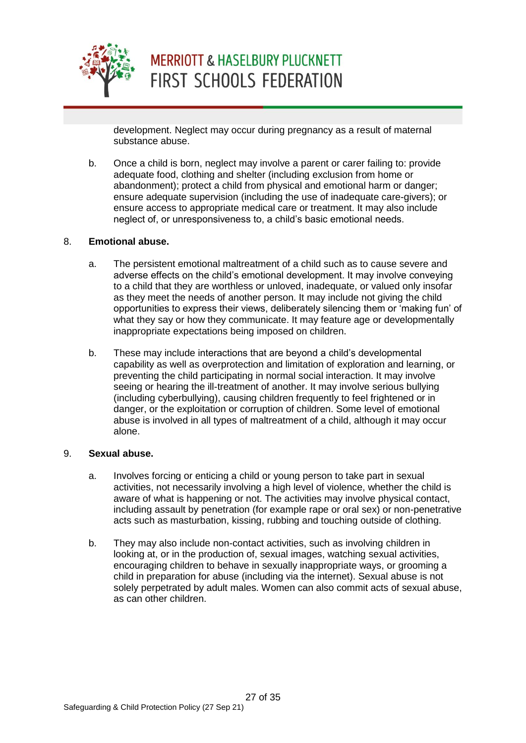

development. Neglect may occur during pregnancy as a result of maternal substance abuse.

b. Once a child is born, neglect may involve a parent or carer failing to: provide adequate food, clothing and shelter (including exclusion from home or abandonment); protect a child from physical and emotional harm or danger; ensure adequate supervision (including the use of inadequate care-givers); or ensure access to appropriate medical care or treatment. It may also include neglect of, or unresponsiveness to, a child's basic emotional needs.

#### 8. **Emotional abuse.**

- a. The persistent emotional maltreatment of a child such as to cause severe and adverse effects on the child's emotional development. It may involve conveying to a child that they are worthless or unloved, inadequate, or valued only insofar as they meet the needs of another person. It may include not giving the child opportunities to express their views, deliberately silencing them or 'making fun' of what they say or how they communicate. It may feature age or developmentally inappropriate expectations being imposed on children.
- b. These may include interactions that are beyond a child's developmental capability as well as overprotection and limitation of exploration and learning, or preventing the child participating in normal social interaction. It may involve seeing or hearing the ill-treatment of another. It may involve serious bullying (including cyberbullying), causing children frequently to feel frightened or in danger, or the exploitation or corruption of children. Some level of emotional abuse is involved in all types of maltreatment of a child, although it may occur alone.

#### 9. **Sexual abuse.**

- a. Involves forcing or enticing a child or young person to take part in sexual activities, not necessarily involving a high level of violence, whether the child is aware of what is happening or not. The activities may involve physical contact, including assault by penetration (for example rape or oral sex) or non-penetrative acts such as masturbation, kissing, rubbing and touching outside of clothing.
- b. They may also include non-contact activities, such as involving children in looking at, or in the production of, sexual images, watching sexual activities, encouraging children to behave in sexually inappropriate ways, or grooming a child in preparation for abuse (including via the internet). Sexual abuse is not solely perpetrated by adult males. Women can also commit acts of sexual abuse, as can other children.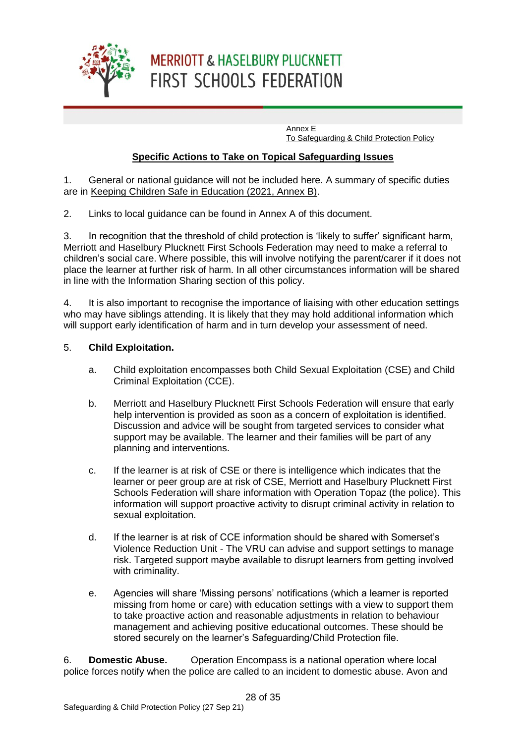

Annex E To Safeguarding & Child Protection Policy

### **Specific Actions to Take on Topical Safeguarding Issues**

<span id="page-27-0"></span>1. General or national guidance will not be included here. A summary of specific duties are in [Keeping Children Safe in Education \(2021, Annex B](https://www.gov.uk/government/publications/keeping-children-safe-in-education--2)).

2. Links to local guidance can be found in Annex A of this document.

3. In recognition that the threshold of child protection is 'likely to suffer' significant harm, Merriott and Haselbury Plucknett First Schools Federation may need to make a referral to children's social care. Where possible, this will involve notifying the parent/carer if it does not place the learner at further risk of harm. In all other circumstances information will be shared in line with the Information Sharing section of this policy.

4. It is also important to recognise the importance of liaising with other education settings who may have siblings attending. It is likely that they may hold additional information which will support early identification of harm and in turn develop your assessment of need.

### 5. **Child Exploitation.**

- a. Child exploitation encompasses both Child Sexual Exploitation (CSE) and Child Criminal Exploitation (CCE).
- b. Merriott and Haselbury Plucknett First Schools Federation will ensure that early help intervention is provided as soon as a concern of exploitation is identified. Discussion and advice will be sought from targeted services to consider what support may be available. The learner and their families will be part of any planning and interventions.
- c. If the learner is at risk of CSE or there is intelligence which indicates that the learner or peer group are at risk of CSE, Merriott and Haselbury Plucknett First Schools Federation will share information with Operation Topaz (the police). This information will support proactive activity to disrupt criminal activity in relation to sexual exploitation.
- d. If the learner is at risk of CCE information should be shared with Somerset's Violence Reduction Unit - The VRU can advise and support settings to manage risk. Targeted support maybe available to disrupt learners from getting involved with criminality.
- e. Agencies will share 'Missing persons' notifications (which a learner is reported missing from home or care) with education settings with a view to support them to take proactive action and reasonable adjustments in relation to behaviour management and achieving positive educational outcomes. These should be stored securely on the learner's Safeguarding/Child Protection file.

6. **Domestic Abuse.** Operation Encompass is a national operation where local police forces notify when the police are called to an incident to domestic abuse. Avon and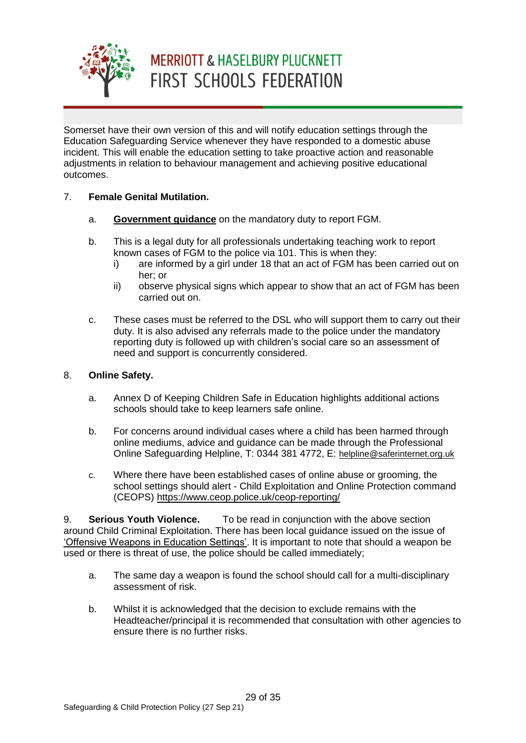

Somerset have their own version of this and will notify education settings through the Education Safeguarding Service whenever they have responded to a domestic abuse incident. This will enable the education setting to take proactive action and reasonable adjustments in relation to behaviour management and achieving positive educational outcomes.

### 7. **Female Genital Mutilation.**

- a. **[Government guidance](https://assets.publishing.service.gov.uk/government/uploads/system/uploads/attachment_data/file/573782/FGM_Mandatory_Reporting_-_procedural_information_nov16_FINAL.pdf)** on the mandatory duty to report FGM.
- b. This is a legal duty for all professionals undertaking teaching work to report known cases of FGM to the police via 101. This is when they:
	- i) are informed by a girl under 18 that an act of FGM has been carried out on her; or
	- ii) observe physical signs which appear to show that an act of FGM has been carried out on.
- c. These cases must be referred to the DSL who will support them to carry out their duty. It is also advised any referrals made to the police under the mandatory reporting duty is followed up with children's social care so an assessment of need and support is concurrently considered.

#### 8. **Online Safety.**

- a. Annex D of Keeping Children Safe in Education highlights additional actions schools should take to keep learners safe online.
- b. For concerns around individual cases where a child has been harmed through online mediums, advice and guidance can be made through the Professional Online Safeguarding Helpline, T: 0344 381 4772, E: [helpline@saferinternet.org.uk](mailto:helpline@saferinternet.org.uk)
- c. Where there have been established cases of online abuse or grooming, the school settings should alert - Child Exploitation and Online Protection command (CEOPS)<https://www.ceop.police.uk/ceop-reporting/>

9. **Serious Youth Violence.** To be read in conjunction with the above section around Child Criminal Exploitation. There has been local guidance issued on the issue of ['Offensive Weapons in Education Settings'](https://drive.google.com/file/d/1env2AyL0OgklN9oHEhtNi0QfK1kdcg8T/view?usp=sharing). It is important to note that should a weapon be used or there is threat of use, the police should be called immediately;

- a. The same day a weapon is found the school should call for a multi-disciplinary assessment of risk.
- b. Whilst it is acknowledged that the decision to exclude remains with the Headteacher/principal it is recommended that consultation with other agencies to ensure there is no further risks.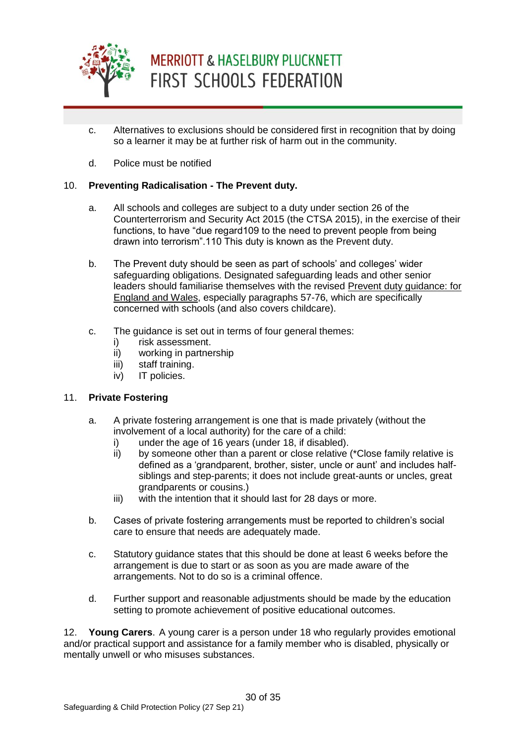

- c. Alternatives to exclusions should be considered first in recognition that by doing so a learner it may be at further risk of harm out in the community.
- d. Police must be notified

### 10. **Preventing Radicalisation - The Prevent duty.**

- a. All schools and colleges are subject to a duty under section 26 of the Counterterrorism and Security Act 2015 (the CTSA 2015), in the exercise of their functions, to have "due regard109 to the need to prevent people from being drawn into terrorism".110 This duty is known as the Prevent duty.
- b. The Prevent duty should be seen as part of schools' and colleges' wider safeguarding obligations. Designated safeguarding leads and other senior leaders should familiarise themselves with the revised [Prevent duty guidance: for](https://www.gov.uk/government/publications/prevent-duty-guidance)  [England and Wales,](https://www.gov.uk/government/publications/prevent-duty-guidance) especially paragraphs 57-76, which are specifically concerned with schools (and also covers childcare).
- c. The guidance is set out in terms of four general themes:
	- i) risk assessment.
	- ii) working in partnership
	- iii) staff training.
	- iv) IT policies.

### 11. **Private Fostering**

- a. A private fostering arrangement is one that is made privately (without the involvement of a local authority) for the care of a child:
	- i) under the age of 16 years (under 18, if disabled).
	- ii) by someone other than a parent or close relative (\*Close family relative is defined as a 'grandparent, brother, sister, uncle or aunt' and includes halfsiblings and step-parents; it does not include great-aunts or uncles, great grandparents or cousins.)
	- iii) with the intention that it should last for 28 days or more.
- b. Cases of private fostering arrangements must be reported to children's social care to ensure that needs are adequately made.
- c. Statutory guidance states that this should be done at least 6 weeks before the arrangement is due to start or as soon as you are made aware of the arrangements. Not to do so is a criminal offence.
- d. Further support and reasonable adjustments should be made by the education setting to promote achievement of positive educational outcomes.

12. **Young Carers**. A young carer is a person under 18 who regularly provides emotional and/or practical support and assistance for a family member who is disabled, physically or mentally unwell or who misuses substances.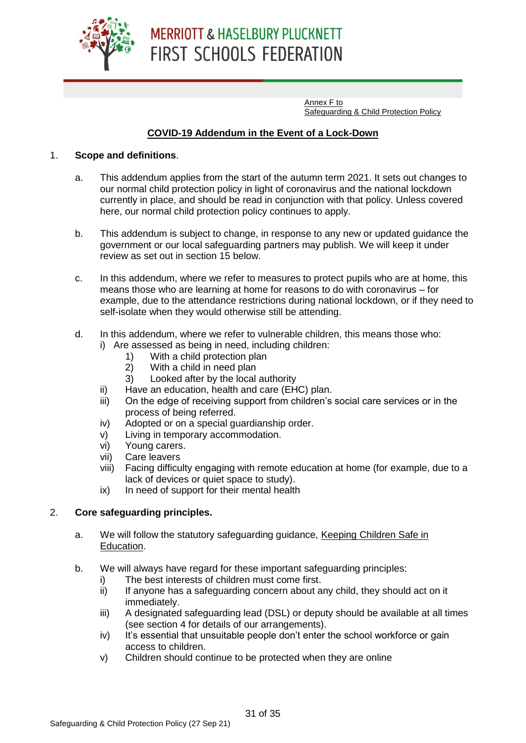

Annex F to Safeguarding & Child Protection Policy

### **COVID-19 Addendum in the Event of a Lock-Down**

#### <span id="page-30-0"></span>1. **Scope and definitions**.

- a. This addendum applies from the start of the autumn term 2021. It sets out changes to our normal child protection policy in light of coronavirus and the national lockdown currently in place, and should be read in conjunction with that policy. Unless covered here, our normal child protection policy continues to apply.
- b. This addendum is subject to change, in response to any new or updated guidance the government or our local safeguarding partners may publish. We will keep it under review as set out in section 15 below.
- c. In this addendum, where we refer to measures to protect pupils who are at home, this means those who are learning at home for reasons to do with coronavirus – for example, due to the attendance restrictions during national lockdown, or if they need to self-isolate when they would otherwise still be attending.
- d. In this addendum, where we refer to vulnerable children, this means those who:
	- i) Are assessed as being in need, including children:
		- 1) With a child protection plan
		- 2) With a child in need plan
		- 3) Looked after by the local authority
	- ii) Have an education, health and care (EHC) plan.
	- iii) On the edge of receiving support from children's social care services or in the process of being referred.
	- iv) Adopted or on a special guardianship order.
	- v) Living in temporary accommodation.
	- vi) Young carers.
	- vii) Care leavers
	- viii) Facing difficulty engaging with remote education at home (for example, due to a lack of devices or quiet space to study).
	- ix) In need of support for their mental health

### 2. **Core safeguarding principles.**

- a. We will follow the statutory safeguarding guidance, Keeping Children Safe in [Education.](https://www.gov.uk/government/publications/keeping-children-safe-in-education--2)
- b. We will always have regard for these important safeguarding principles:
	- i) The best interests of children must come first.
	- ii) If anyone has a safeguarding concern about any child, they should act on it immediately.
	- iii) A designated safeguarding lead (DSL) or deputy should be available at all times (see section 4 for details of our arrangements).
	- iv) It's essential that unsuitable people don't enter the school workforce or gain access to children.
	- v) Children should continue to be protected when they are online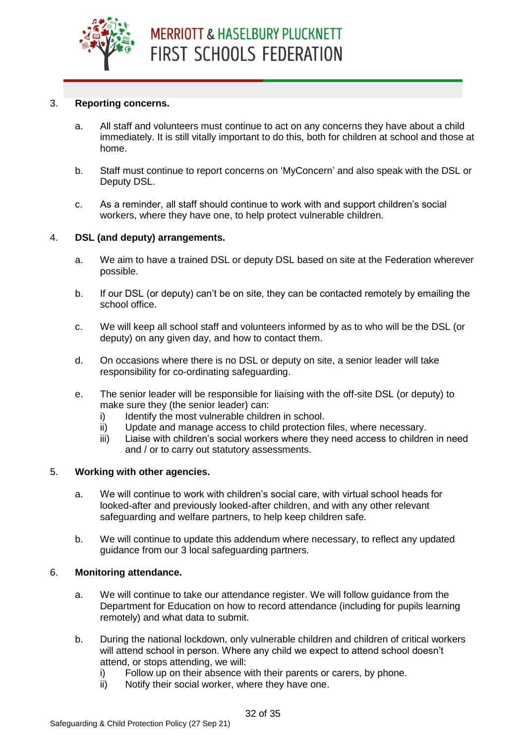

### 3. **Reporting concerns.**

- a. All staff and volunteers must continue to act on any concerns they have about a child immediately. It is still vitally important to do this, both for children at school and those at home.
- b. Staff must continue to report concerns on 'MyConcern' and also speak with the DSL or Deputy DSL.
- c. As a reminder, all staff should continue to work with and support children's social workers, where they have one, to help protect vulnerable children.

### 4. **DSL (and deputy) arrangements.**

- a. We aim to have a trained DSL or deputy DSL based on site at the Federation wherever possible.
- b. If our DSL (or deputy) can't be on site, they can be contacted remotely by emailing the school office.
- c. We will keep all school staff and volunteers informed by as to who will be the DSL (or deputy) on any given day, and how to contact them.
- d. On occasions where there is no DSL or deputy on site, a senior leader will take responsibility for co-ordinating safeguarding.
- e. The senior leader will be responsible for liaising with the off-site DSL (or deputy) to make sure they (the senior leader) can:
	- i) Identify the most vulnerable children in school.
	- ii) Update and manage access to child protection files, where necessary.
	- iii) Liaise with children's social workers where they need access to children in need and / or to carry out statutory assessments.

#### 5. **Working with other agencies.**

- a. We will continue to work with children's social care, with virtual school heads for looked-after and previously looked-after children, and with any other relevant safeguarding and welfare partners, to help keep children safe.
- b. We will continue to update this addendum where necessary, to reflect any updated guidance from our 3 local safeguarding partners.

#### 6. **Monitoring attendance.**

- a. We will continue to take our attendance register. We will follow guidance from the Department for Education on how to record attendance (including for pupils learning remotely) and what data to submit.
- b. During the national lockdown, only vulnerable children and children of critical workers will attend school in person. Where any child we expect to attend school doesn't attend, or stops attending, we will:
	- i) Follow up on their absence with their parents or carers, by phone.
	- ii) Notify their social worker, where they have one.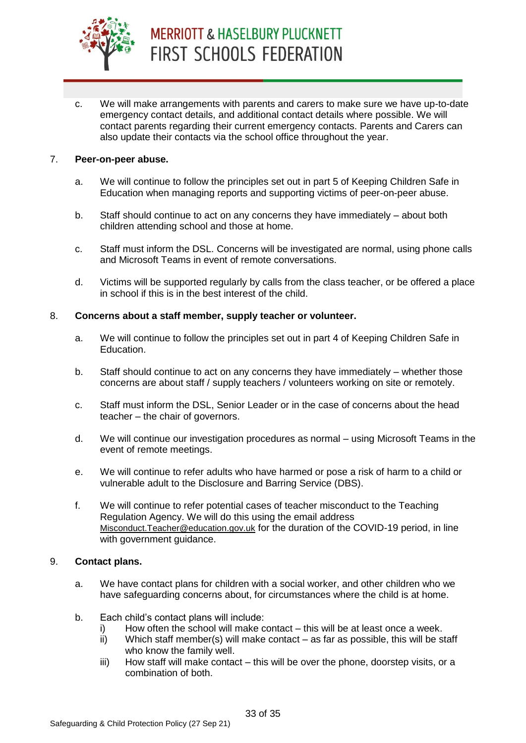

c. We will make arrangements with parents and carers to make sure we have up-to-date emergency contact details, and additional contact details where possible. We will contact parents regarding their current emergency contacts. Parents and Carers can also update their contacts via the school office throughout the year.

#### 7. **Peer-on-peer abuse.**

- a. We will continue to follow the principles set out in part 5 of Keeping Children Safe in Education when managing reports and supporting victims of peer-on-peer abuse.
- b. Staff should continue to act on any concerns they have immediately about both children attending school and those at home.
- c. Staff must inform the DSL. Concerns will be investigated are normal, using phone calls and Microsoft Teams in event of remote conversations.
- d. Victims will be supported regularly by calls from the class teacher, or be offered a place in school if this is in the best interest of the child.

#### 8. **Concerns about a staff member, supply teacher or volunteer.**

- a. We will continue to follow the principles set out in part 4 of Keeping Children Safe in Education.
- b. Staff should continue to act on any concerns they have immediately whether those concerns are about staff / supply teachers / volunteers working on site or remotely.
- c. Staff must inform the DSL, Senior Leader or in the case of concerns about the head teacher – the chair of governors.
- d. We will continue our investigation procedures as normal using Microsoft Teams in the event of remote meetings.
- e. We will continue to refer adults who have harmed or pose a risk of harm to a child or vulnerable adult to the Disclosure and Barring Service (DBS).
- f. We will continue to refer potential cases of teacher misconduct to the Teaching Regulation Agency. We will do this using the email address [Misconduct.Teacher@education.gov.uk](mailto:Misconduct.Teacher@education.gov.uk) for the duration of the COVID-19 period, in line with government guidance.

#### 9. **Contact plans.**

- a. We have contact plans for children with a social worker, and other children who we have safeguarding concerns about, for circumstances where the child is at home.
- b. Each child's contact plans will include:
	- i) How often the school will make contact this will be at least once a week.
	- ii) Which staff member(s) will make contact as far as possible, this will be staff who know the family well.
	- $\overline{a}$  How staff will make contact this will be over the phone, doorstep visits, or a combination of both.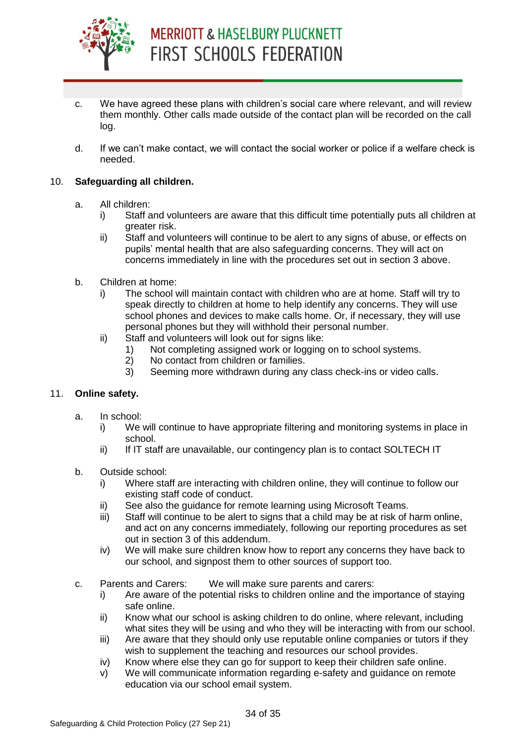

- c. We have agreed these plans with children's social care where relevant, and will review them monthly. Other calls made outside of the contact plan will be recorded on the call log.
- d. If we can't make contact, we will contact the social worker or police if a welfare check is needed.

#### 10. **Safeguarding all children.**

- a. All children:
	- i) Staff and volunteers are aware that this difficult time potentially puts all children at greater risk.
	- ii) Staff and volunteers will continue to be alert to any signs of abuse, or effects on pupils' mental health that are also safeguarding concerns. They will act on concerns immediately in line with the procedures set out in section 3 above.
- b. Children at home:
	- i) The school will maintain contact with children who are at home. Staff will try to speak directly to children at home to help identify any concerns. They will use school phones and devices to make calls home. Or, if necessary, they will use personal phones but they will withhold their personal number.
	- ii) Staff and volunteers will look out for signs like:
		- 1) Not completing assigned work or logging on to school systems.
		- 2) No contact from children or families.
		- 3) Seeming more withdrawn during any class check-ins or video calls.

#### 11. **Online safety.**

- a. In school:
	- i) We will continue to have appropriate filtering and monitoring systems in place in school.
	- ii) If IT staff are unavailable, our contingency plan is to contact SOLTECH IT
- b. Outside school:
	- i) Where staff are interacting with children online, they will continue to follow our existing staff code of conduct.
	- ii) See also the guidance for remote learning using Microsoft Teams.
	- iii) Staff will continue to be alert to signs that a child may be at risk of harm online, and act on any concerns immediately, following our reporting procedures as set out in section 3 of this addendum.
	- iv) We will make sure children know how to report any concerns they have back to our school, and signpost them to other sources of support too.
- c. Parents and Carers: We will make sure parents and carers:
	- i) Are aware of the potential risks to children online and the importance of staying safe online.
	- ii) Know what our school is asking children to do online, where relevant, including what sites they will be using and who they will be interacting with from our school.
	- iii) Are aware that they should only use reputable online companies or tutors if they wish to supplement the teaching and resources our school provides.
	- iv) Know where else they can go for support to keep their children safe online.
	- v) We will communicate information regarding e-safety and guidance on remote education via our school email system.